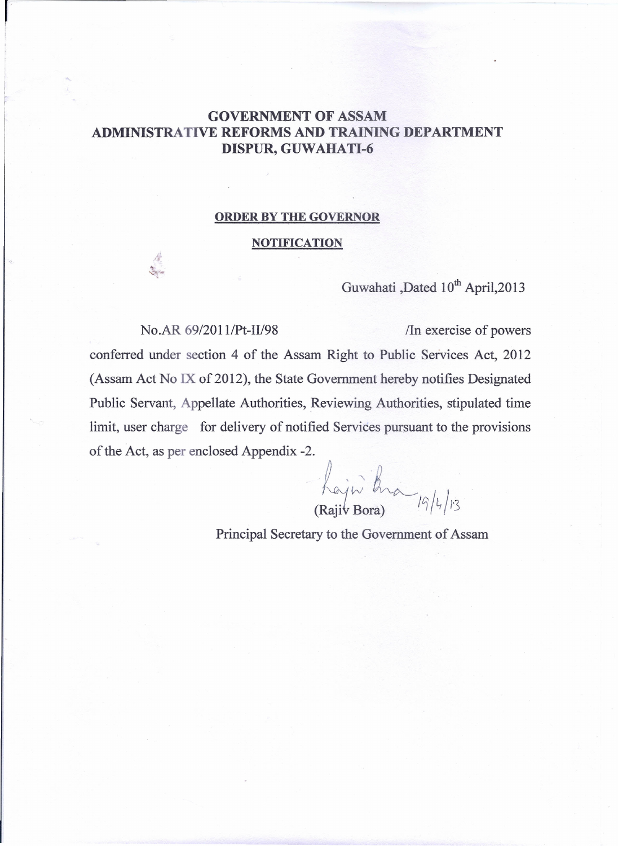## GOVERNMENT OF ASSAM ADMINISTRATIVE REFORMS AND TRAINING DEPARTMENT DISPUR, GUWAHATI-6

## ORDER BY THE GOVERNOR

## NOTIFICATION

Guwahati ,Dated 10<sup>th</sup> April, 2013

## No.AR 69/2011/Pt-II/98 / *In* exercise of powers

 $\frac{1}{\sqrt{2}}$ 

conferred under section 4 of the Assam Right to Public Services Act, 2012 (Assam Act No IX of 2012), the State Government hereby notifies Designated Public Servant, Appellate Authorities, Reviewing Authorities, stipulated time limit, user charge for delivery of notified Services pursuant to the provisions of the Act, as per enclosed Appendix -2.

2.<br>hajoi kra,  $\bigwedge_{k=1}^{\infty}$   $\bigwedge_{k=1}^{\infty}$   $\bigwedge_{k=1}^{\infty}$   $\bigwedge_{k=1}^{\infty}$   $\bigwedge_{k=1}^{\infty}$   $\bigwedge_{k=1}^{\infty}$   $\bigwedge_{k=1}^{\infty}$   $\bigwedge_{k=1}^{\infty}$   $\bigwedge_{k=1}^{\infty}$   $\bigwedge_{k=1}^{\infty}$   $\bigwedge_{k=1}^{\infty}$   $\bigwedge_{k=1}^{\infty}$   $\bigwedge_{k=1}^{\infty}$ 

Principal Secretary to the Government of Assam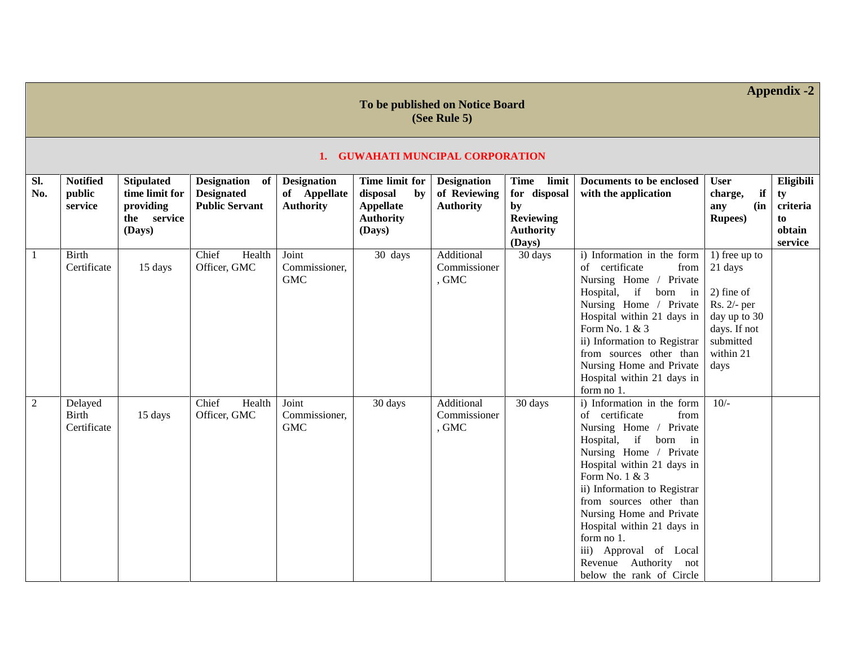|                | To be published on Notice Board<br>(See Rule 5) |                                                                           |                                                              |                                                        |                                                                             |                                                        |                                                                                              |                                                                                                                                                                                                                                                                                                                                                                                                    |                                                                                                                           |                                                        |
|----------------|-------------------------------------------------|---------------------------------------------------------------------------|--------------------------------------------------------------|--------------------------------------------------------|-----------------------------------------------------------------------------|--------------------------------------------------------|----------------------------------------------------------------------------------------------|----------------------------------------------------------------------------------------------------------------------------------------------------------------------------------------------------------------------------------------------------------------------------------------------------------------------------------------------------------------------------------------------------|---------------------------------------------------------------------------------------------------------------------------|--------------------------------------------------------|
|                |                                                 |                                                                           |                                                              |                                                        | 1. GUWAHATI MUNCIPAL CORPORATION                                            |                                                        |                                                                                              |                                                                                                                                                                                                                                                                                                                                                                                                    |                                                                                                                           |                                                        |
| SI.<br>No.     | <b>Notified</b><br>public<br>service            | <b>Stipulated</b><br>time limit for<br>providing<br>the service<br>(Days) | Designation of<br><b>Designated</b><br><b>Public Servant</b> | <b>Designation</b><br>of Appellate<br><b>Authority</b> | Time limit for<br>disposal<br>by<br>Appellate<br><b>Authority</b><br>(Days) | <b>Designation</b><br>of Reviewing<br><b>Authority</b> | limit<br><b>Time</b><br>for disposal<br>by<br><b>Reviewing</b><br><b>Authority</b><br>(Days) | Documents to be enclosed<br>with the application                                                                                                                                                                                                                                                                                                                                                   | <b>User</b><br>if<br>charge,<br>$(in \mid$<br>any<br><b>Rupees</b> )                                                      | Eligibili<br>ty<br>criteria<br>to<br>obtain<br>service |
| $\mathbf{1}$   | <b>Birth</b><br>Certificate                     | 15 days                                                                   | Chief<br>Health<br>Officer, GMC                              | Joint<br>Commissioner,<br><b>GMC</b>                   | 30 days                                                                     | Additional<br>Commissioner<br>, GMC                    | 30 days                                                                                      | i) Information in the form<br>of certificate<br>from<br>Nursing Home / Private<br>Hospital, if born in<br>Nursing Home / Private<br>Hospital within 21 days in<br>Form No. 1 & 3<br>ii) Information to Registrar<br>from sources other than<br>Nursing Home and Private<br>Hospital within 21 days in<br>form no 1.                                                                                | 1) free up to<br>21 days<br>$2)$ fine of<br>Rs. 2/- per<br>day up to 30<br>days. If not<br>submitted<br>within 21<br>days |                                                        |
| $\overline{2}$ | Delayed<br><b>Birth</b><br>Certificate          | 15 days                                                                   | Chief<br>Health<br>Officer, GMC                              | Joint<br>Commissioner,<br><b>GMC</b>                   | 30 days                                                                     | Additional<br>Commissioner<br>, GMC                    | 30 days                                                                                      | i) Information in the form<br>of certificate<br>from<br>Nursing Home / Private<br>Hospital, if born in<br>Nursing Home / Private<br>Hospital within 21 days in<br>Form No. 1 & 3<br>ii) Information to Registrar<br>from sources other than<br>Nursing Home and Private<br>Hospital within 21 days in<br>form no 1.<br>iii) Approval of Local<br>Revenue Authority not<br>below the rank of Circle | $10/-$                                                                                                                    |                                                        |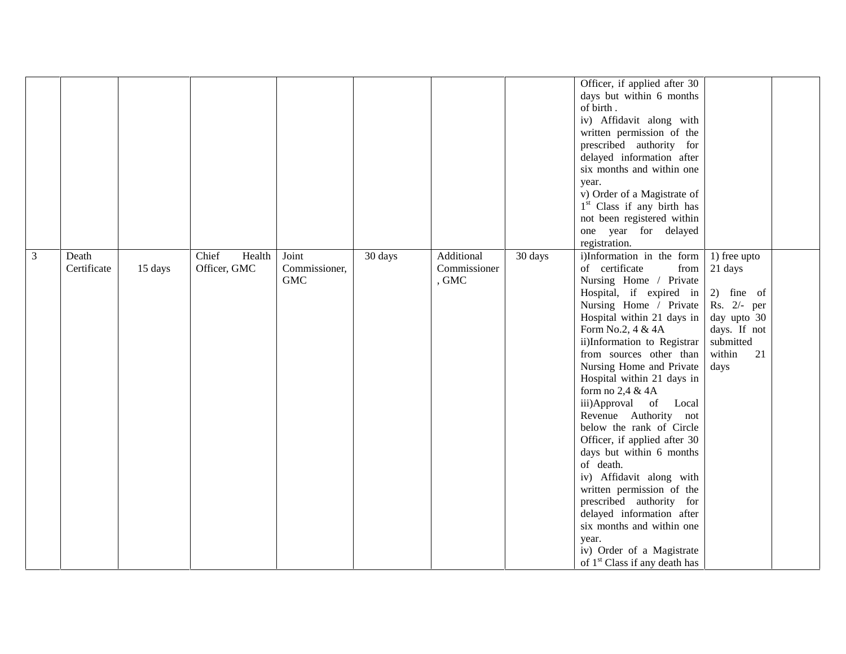|   |                      |         |                                 |                                      |         |                                     |         | Officer, if applied after 30<br>days but within 6 months<br>of birth.<br>iv) Affidavit along with<br>written permission of the<br>prescribed authority for<br>delayed information after<br>six months and within one<br>year.<br>v) Order of a Magistrate of<br>1 <sup>st</sup> Class if any birth has<br>not been registered within<br>one year for delayed                                                                                                                                                                                                                                                                                                                                                                            |                                                                                                                            |  |
|---|----------------------|---------|---------------------------------|--------------------------------------|---------|-------------------------------------|---------|-----------------------------------------------------------------------------------------------------------------------------------------------------------------------------------------------------------------------------------------------------------------------------------------------------------------------------------------------------------------------------------------------------------------------------------------------------------------------------------------------------------------------------------------------------------------------------------------------------------------------------------------------------------------------------------------------------------------------------------------|----------------------------------------------------------------------------------------------------------------------------|--|
| 3 | Death<br>Certificate | 15 days | Chief<br>Health<br>Officer, GMC | Joint<br>Commissioner,<br><b>GMC</b> | 30 days | Additional<br>Commissioner<br>, GMC | 30 days | registration.<br>i)Information in the form<br>of certificate<br>from<br>Nursing Home / Private<br>Hospital, if expired in<br>Nursing Home / Private<br>Hospital within 21 days in<br>Form No.2, 4 & 4A<br>ii)Information to Registrar<br>from sources other than<br>Nursing Home and Private<br>Hospital within 21 days in<br>form no 2,4 & 4A<br>iii)Approval of Local<br>Revenue Authority not<br>below the rank of Circle<br>Officer, if applied after 30<br>days but within 6 months<br>of death.<br>iv) Affidavit along with<br>written permission of the<br>prescribed authority for<br>delayed information after<br>six months and within one<br>year.<br>iv) Order of a Magistrate<br>of 1 <sup>st</sup> Class if any death has | 1) free upto<br>21 days<br>2) fine of<br>Rs. $2/-$ per<br>day upto 30<br>days. If not<br>submitted<br>within<br>21<br>days |  |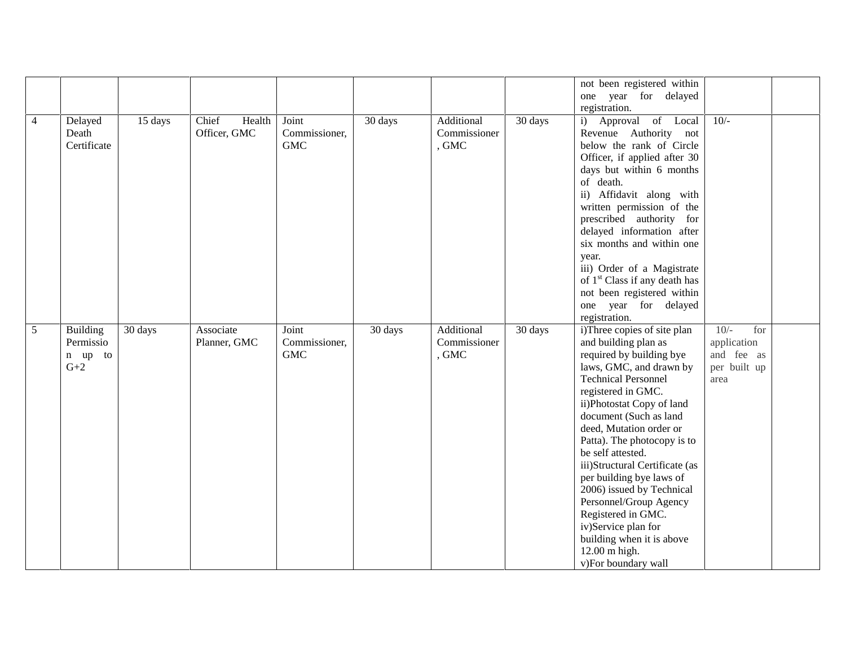|                |                                           |         |                                 |                                      |         |                                     |         | not been registered within                                                                                                                                                                                                                                                                                                                                                                                                                                                                                                                  |                                                                    |  |
|----------------|-------------------------------------------|---------|---------------------------------|--------------------------------------|---------|-------------------------------------|---------|---------------------------------------------------------------------------------------------------------------------------------------------------------------------------------------------------------------------------------------------------------------------------------------------------------------------------------------------------------------------------------------------------------------------------------------------------------------------------------------------------------------------------------------------|--------------------------------------------------------------------|--|
|                |                                           |         |                                 |                                      |         |                                     |         | one year for delayed                                                                                                                                                                                                                                                                                                                                                                                                                                                                                                                        |                                                                    |  |
|                |                                           |         |                                 |                                      |         |                                     |         | registration.                                                                                                                                                                                                                                                                                                                                                                                                                                                                                                                               |                                                                    |  |
| $\overline{4}$ | Delayed<br>Death<br>Certificate           | 15 days | Chief<br>Health<br>Officer, GMC | Joint<br>Commissioner,<br><b>GMC</b> | 30 days | Additional<br>Commissioner<br>, GMC | 30 days | i) Approval of Local<br>Revenue Authority not<br>below the rank of Circle<br>Officer, if applied after 30<br>days but within 6 months<br>of death.<br>ii) Affidavit along with<br>written permission of the<br>prescribed authority for<br>delayed information after<br>six months and within one<br>year.<br>iii) Order of a Magistrate<br>of 1 <sup>st</sup> Class if any death has<br>not been registered within                                                                                                                         | $10/-$                                                             |  |
|                |                                           |         |                                 |                                      |         |                                     |         | one year for delayed                                                                                                                                                                                                                                                                                                                                                                                                                                                                                                                        |                                                                    |  |
|                |                                           |         |                                 |                                      |         |                                     |         | registration.                                                                                                                                                                                                                                                                                                                                                                                                                                                                                                                               |                                                                    |  |
| 5              | Building<br>Permissio<br>n up to<br>$G+2$ | 30 days | Associate<br>Planner, GMC       | Joint<br>Commissioner,<br><b>GMC</b> | 30 days | Additional<br>Commissioner<br>, GMC | 30 days | i)Three copies of site plan<br>and building plan as<br>required by building bye<br>laws, GMC, and drawn by<br><b>Technical Personnel</b><br>registered in GMC.<br>ii)Photostat Copy of land<br>document (Such as land<br>deed, Mutation order or<br>Patta). The photocopy is to<br>be self attested.<br>iii)Structural Certificate (as<br>per building bye laws of<br>2006) issued by Technical<br>Personnel/Group Agency<br>Registered in GMC.<br>iv)Service plan for<br>building when it is above<br>12.00 m high.<br>v)For boundary wall | $10/-$<br>for<br>application<br>and fee as<br>per built up<br>area |  |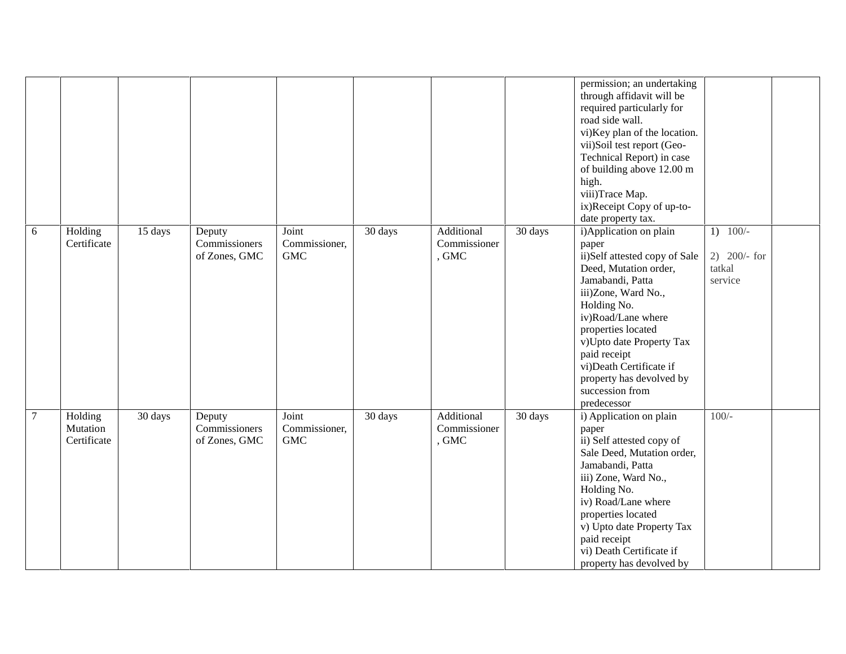|        |                                    |         |                                          |                                      |         |                                     |         | permission; an undertaking<br>through affidavit will be<br>required particularly for<br>road side wall.<br>vi)Key plan of the location.<br>vii)Soil test report (Geo-<br>Technical Report) in case<br>of building above 12.00 m<br>high.<br>viii)Trace Map.                                                                           |                                                   |  |
|--------|------------------------------------|---------|------------------------------------------|--------------------------------------|---------|-------------------------------------|---------|---------------------------------------------------------------------------------------------------------------------------------------------------------------------------------------------------------------------------------------------------------------------------------------------------------------------------------------|---------------------------------------------------|--|
|        |                                    |         |                                          |                                      |         |                                     |         | ix)Receipt Copy of up-to-                                                                                                                                                                                                                                                                                                             |                                                   |  |
|        |                                    |         |                                          |                                      |         |                                     |         | date property tax.                                                                                                                                                                                                                                                                                                                    |                                                   |  |
| 6      | Holding<br>Certificate             | 15 days | Deputy<br>Commissioners<br>of Zones, GMC | Joint<br>Commissioner,<br><b>GMC</b> | 30 days | Additional<br>Commissioner<br>, GMC | 30 days | i) Application on plain<br>paper<br>ii)Self attested copy of Sale<br>Deed, Mutation order,<br>Jamabandi, Patta<br>iii)Zone, Ward No.,<br>Holding No.<br>iv)Road/Lane where<br>properties located<br>v)Upto date Property Tax<br>paid receipt<br>vi)Death Certificate if<br>property has devolved by<br>succession from<br>predecessor | $1)$ 100/-<br>2) $200/-$ for<br>tatkal<br>service |  |
| $\tau$ | Holding<br>Mutation<br>Certificate | 30 days | Deputy<br>Commissioners<br>of Zones, GMC | Joint<br>Commissioner,<br><b>GMC</b> | 30 days | Additional<br>Commissioner<br>, GMC | 30 days | i) Application on plain<br>paper<br>ii) Self attested copy of<br>Sale Deed, Mutation order,<br>Jamabandi, Patta<br>iii) Zone, Ward No.,<br>Holding No.<br>iv) Road/Lane where<br>properties located<br>v) Upto date Property Tax<br>paid receipt<br>vi) Death Certificate if<br>property has devolved by                              | $100/-$                                           |  |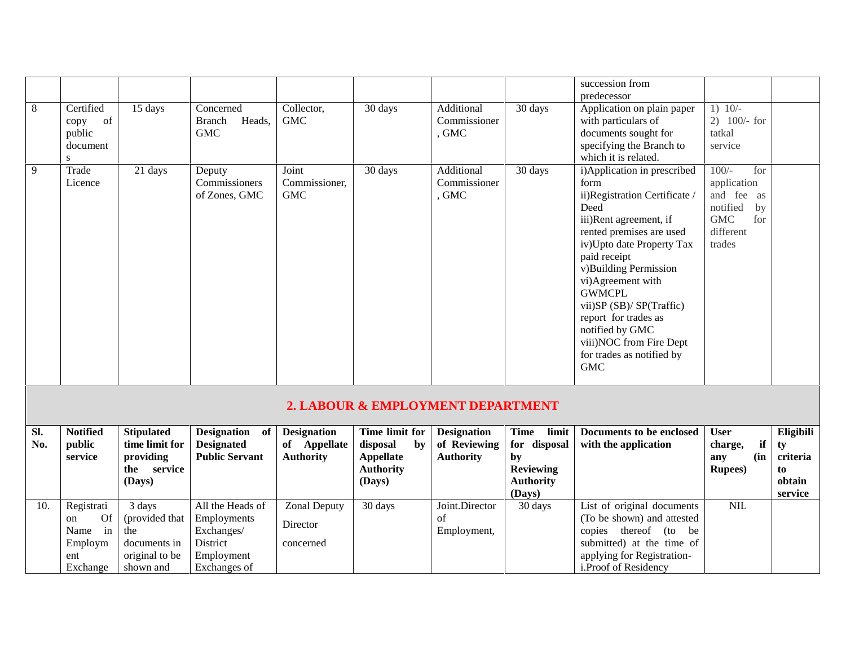|            |                                                                 |                                                                                |                                                                                         |                                                        |                                                                                    |                                                        |                                                                                       | succession from<br>predecessor                                                                                                                                                                                                                                                                                                                                                                |                                                                                                          |                                                        |
|------------|-----------------------------------------------------------------|--------------------------------------------------------------------------------|-----------------------------------------------------------------------------------------|--------------------------------------------------------|------------------------------------------------------------------------------------|--------------------------------------------------------|---------------------------------------------------------------------------------------|-----------------------------------------------------------------------------------------------------------------------------------------------------------------------------------------------------------------------------------------------------------------------------------------------------------------------------------------------------------------------------------------------|----------------------------------------------------------------------------------------------------------|--------------------------------------------------------|
| 8          | Certified<br>of<br>copy<br>public<br>document<br>S              | 15 days                                                                        | Concerned<br><b>Branch</b><br>Heads,<br><b>GMC</b>                                      | Collector,<br><b>GMC</b>                               | 30 days                                                                            | Additional<br>Commissioner<br>, GMC                    | 30 days                                                                               | Application on plain paper<br>with particulars of<br>documents sought for<br>specifying the Branch to<br>which it is related.                                                                                                                                                                                                                                                                 | $1) 10/-$<br>2) $100/-$ for<br>tatkal<br>service                                                         |                                                        |
| 9          | Trade<br>Licence                                                | 21 days                                                                        | Deputy<br>Commissioners<br>of Zones, GMC                                                | Joint<br>Commissioner,<br><b>GMC</b>                   | 30 days                                                                            | Additional<br>Commissioner<br>, GMC                    | 30 days                                                                               | i)Application in prescribed<br>form<br>ii)Registration Certificate /<br>Deed<br>iii)Rent agreement, if<br>rented premises are used<br>iv)Upto date Property Tax<br>paid receipt<br>v)Building Permission<br>vi)Agreement with<br><b>GWMCPL</b><br>vii)SP (SB)/ SP(Traffic)<br>report for trades as<br>notified by GMC<br>viii) NOC from Fire Dept<br>for trades as notified by<br>${\rm GMC}$ | $100/-$<br>for<br>application<br>and fee as<br>notified<br>by<br>$\rm GMC$<br>for<br>different<br>trades |                                                        |
|            |                                                                 |                                                                                |                                                                                         |                                                        | 2. LABOUR & EMPLOYMENT DEPARTMENT                                                  |                                                        |                                                                                       |                                                                                                                                                                                                                                                                                                                                                                                               |                                                                                                          |                                                        |
| SI.<br>No. | <b>Notified</b><br>public<br>service                            | <b>Stipulated</b><br>time limit for<br>providing<br>service<br>the<br>(Days)   | Designation of<br><b>Designated</b><br><b>Public Servant</b>                            | <b>Designation</b><br>of Appellate<br><b>Authority</b> | Time limit for<br>disposal<br>by<br><b>Appellate</b><br><b>Authority</b><br>(Days) | <b>Designation</b><br>of Reviewing<br><b>Authority</b> | Time<br>limit<br>for disposal<br>by<br><b>Reviewing</b><br><b>Authority</b><br>(Days) | Documents to be enclosed<br>with the application                                                                                                                                                                                                                                                                                                                                              | <b>User</b><br>if<br>charge,<br>(in<br>any<br><b>Rupees</b> )                                            | Eligibili<br>ty<br>criteria<br>to<br>obtain<br>service |
| 10.        | Registrati<br>Of<br>on<br>Name in<br>Employm<br>ent<br>Exchange | 3 days<br>(provided that<br>the<br>documents in<br>original to be<br>shown and | All the Heads of<br>Employments<br>Exchanges/<br>District<br>Employment<br>Exchanges of | Zonal Deputy<br>Director<br>concerned                  | 30 days                                                                            | Joint.Director<br>of<br>Employment,                    | 30 days                                                                               | List of original documents<br>(To be shown) and attested<br>copies thereof (to be<br>submitted) at the time of<br>applying for Registration-<br>i.Proof of Residency                                                                                                                                                                                                                          | NIL                                                                                                      |                                                        |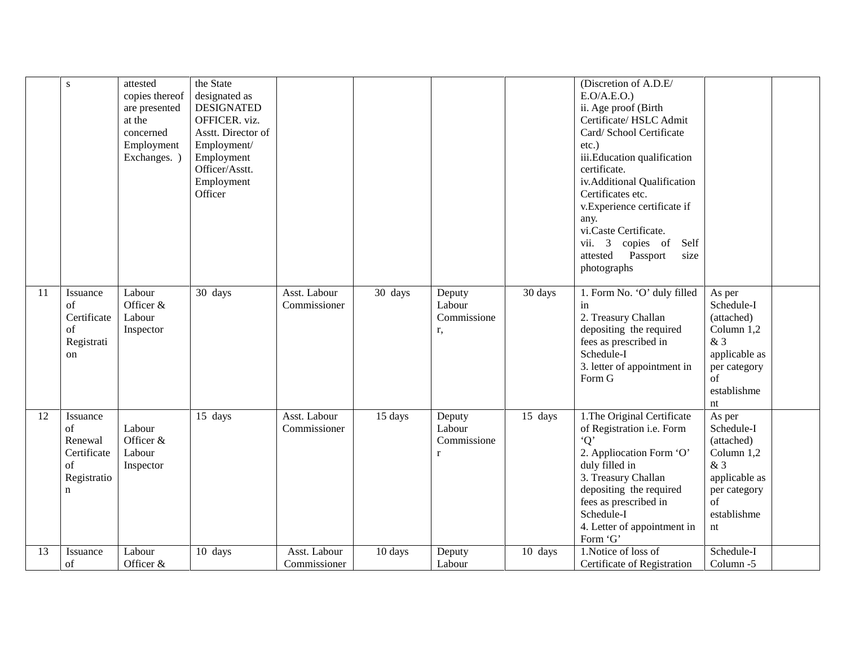|    | S                                                                  | attested<br>copies thereof<br>are presented<br>at the<br>concerned<br>Employment<br>Exchanges. ) | the State<br>designated as<br><b>DESIGNATED</b><br>OFFICER. viz.<br>Asstt. Director of<br>Employment/<br>Employment<br>Officer/Asstt.<br>Employment<br>Officer |                              |         |                                       |         | (Discretion of A.D.E/<br>E.O/A.E.O.)<br>ii. Age proof (Birth<br>Certificate/ HSLC Admit<br>Card/ School Certificate<br>$etc.$ )<br>iii.Education qualification<br>certificate.<br>iv.Additional Qualification<br>Certificates etc.<br>v.Experience certificate if<br>any.<br>vi.Caste Certificate.<br>vii. $3$<br>copies of<br>Self<br>attested<br>Passport<br>size<br>photographs |                                                                                                                    |  |
|----|--------------------------------------------------------------------|--------------------------------------------------------------------------------------------------|----------------------------------------------------------------------------------------------------------------------------------------------------------------|------------------------------|---------|---------------------------------------|---------|------------------------------------------------------------------------------------------------------------------------------------------------------------------------------------------------------------------------------------------------------------------------------------------------------------------------------------------------------------------------------------|--------------------------------------------------------------------------------------------------------------------|--|
| 11 | Issuance<br>of<br>Certificate<br>of<br>Registrati<br>on            | Labour<br>Officer &<br>Labour<br>Inspector                                                       | 30 days                                                                                                                                                        | Asst. Labour<br>Commissioner | 30 days | Deputy<br>Labour<br>Commissione<br>r, | 30 days | 1. Form No. 'O' duly filled<br>in<br>2. Treasury Challan<br>depositing the required<br>fees as prescribed in<br>Schedule-I<br>3. letter of appointment in<br>Form G                                                                                                                                                                                                                | As per<br>Schedule-I<br>(attached)<br>Column 1,2<br>&3<br>applicable as<br>per category<br>of<br>establishme<br>nt |  |
| 12 | Issuance<br>of<br>Renewal<br>Certificate<br>of<br>Registratio<br>n | Labour<br>Officer $&$<br>Labour<br>Inspector                                                     | 15 days                                                                                                                                                        | Asst. Labour<br>Commissioner | 15 days | Deputy<br>Labour<br>Commissione<br>r  | 15 days | 1. The Original Certificate<br>of Registration i.e. Form<br>$\mathbf{O}^{\prime}$<br>2. Appliocation Form 'O'<br>duly filled in<br>3. Treasury Challan<br>depositing the required<br>fees as prescribed in<br>Schedule-I<br>4. Letter of appointment in<br>Form 'G'                                                                                                                | As per<br>Schedule-I<br>(attached)<br>Column 1,2<br>&3<br>applicable as<br>per category<br>of<br>establishme<br>nt |  |
| 13 | Issuance<br>of                                                     | Labour<br>Officer &                                                                              | 10 days                                                                                                                                                        | Asst. Labour<br>Commissioner | 10 days | Deputy<br>Labour                      | 10 days | 1. Notice of loss of<br>Certificate of Registration                                                                                                                                                                                                                                                                                                                                | Schedule-I<br>Column -5                                                                                            |  |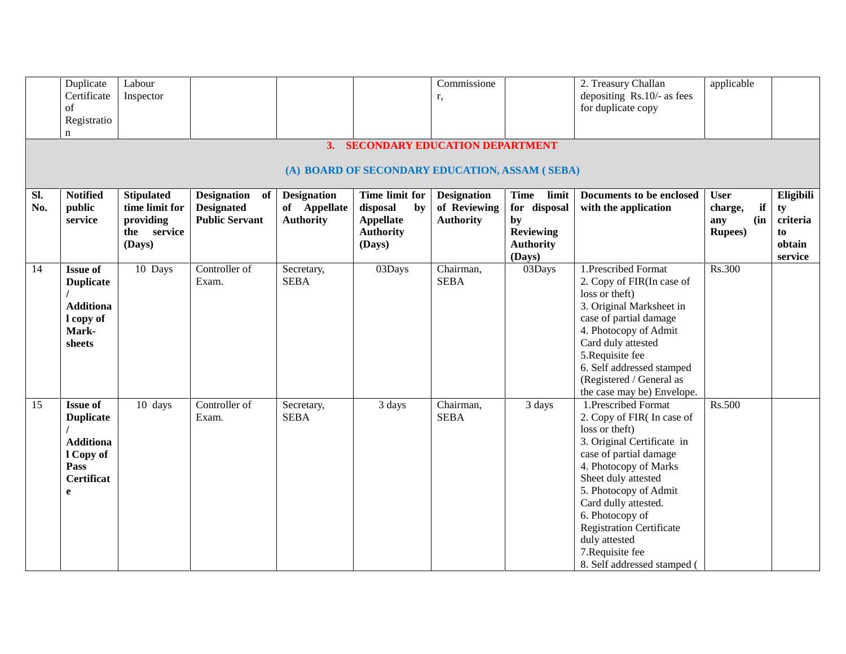|     | Duplicate         | Labour            |                       |                    |                                                | Commissione        |                  | 2. Treasury Challan                    | applicable      |           |
|-----|-------------------|-------------------|-----------------------|--------------------|------------------------------------------------|--------------------|------------------|----------------------------------------|-----------------|-----------|
|     | Certificate       | Inspector         |                       |                    |                                                | r,                 |                  | depositing Rs.10/- as fees             |                 |           |
|     | of                |                   |                       |                    |                                                |                    |                  | for duplicate copy                     |                 |           |
|     | Registratio       |                   |                       |                    |                                                |                    |                  |                                        |                 |           |
|     | n                 |                   |                       |                    |                                                |                    |                  |                                        |                 |           |
|     |                   |                   |                       |                    | 3. SECONDARY EDUCATION DEPARTMENT              |                    |                  |                                        |                 |           |
|     |                   |                   |                       |                    |                                                |                    |                  |                                        |                 |           |
|     |                   |                   |                       |                    | (A) BOARD OF SECONDARY EDUCATION, ASSAM (SEBA) |                    |                  |                                        |                 |           |
| SI. | <b>Notified</b>   | <b>Stipulated</b> | Designation of        | <b>Designation</b> | Time limit for                                 | <b>Designation</b> | Time limit       | Documents to be enclosed               | <b>User</b>     | Eligibili |
| No. | public            | time limit for    | <b>Designated</b>     | of Appellate       | disposal<br>by                                 | of Reviewing       | for disposal     | with the application                   | if<br>charge,   | ty        |
|     | service           | providing         | <b>Public Servant</b> | <b>Authority</b>   | <b>Appellate</b>                               | <b>Authority</b>   | by               |                                        | (in<br>any      | criteria  |
|     |                   | the service       |                       |                    | <b>Authority</b>                               |                    | <b>Reviewing</b> |                                        | <b>Rupees</b> ) | to        |
|     |                   | (Days)            |                       |                    | (Days)                                         |                    | <b>Authority</b> |                                        |                 | obtain    |
|     |                   |                   |                       |                    |                                                |                    | (Days)           |                                        |                 | service   |
| 14  | <b>Issue of</b>   | 10 Days           | Controller of         | Secretary,         | 03Days                                         | Chairman,          | 03Days           | 1.Prescribed Format                    | Rs.300          |           |
|     | <b>Duplicate</b>  |                   | Exam.                 | <b>SEBA</b>        |                                                | <b>SEBA</b>        |                  | 2. Copy of FIR(In case of              |                 |           |
|     |                   |                   |                       |                    |                                                |                    |                  | loss or theft)                         |                 |           |
|     | <b>Additiona</b>  |                   |                       |                    |                                                |                    |                  | 3. Original Marksheet in               |                 |           |
|     | I copy of         |                   |                       |                    |                                                |                    |                  | case of partial damage                 |                 |           |
|     | Mark-             |                   |                       |                    |                                                |                    |                  | 4. Photocopy of Admit                  |                 |           |
|     | sheets            |                   |                       |                    |                                                |                    |                  | Card duly attested<br>5. Requisite fee |                 |           |
|     |                   |                   |                       |                    |                                                |                    |                  | 6. Self addressed stamped              |                 |           |
|     |                   |                   |                       |                    |                                                |                    |                  | (Registered / General as               |                 |           |
|     |                   |                   |                       |                    |                                                |                    |                  | the case may be) Envelope.             |                 |           |
| 15  | <b>Issue of</b>   | 10 days           | Controller of         | Secretary,         | 3 days                                         | Chairman,          | 3 days           | 1.Prescribed Format                    | Rs.500          |           |
|     | <b>Duplicate</b>  |                   | Exam.                 | <b>SEBA</b>        |                                                | <b>SEBA</b>        |                  | 2. Copy of FIR(In case of              |                 |           |
|     |                   |                   |                       |                    |                                                |                    |                  | loss or theft)                         |                 |           |
|     | <b>Additiona</b>  |                   |                       |                    |                                                |                    |                  | 3. Original Certificate in             |                 |           |
|     | 1 Copy of         |                   |                       |                    |                                                |                    |                  | case of partial damage                 |                 |           |
|     | Pass              |                   |                       |                    |                                                |                    |                  | 4. Photocopy of Marks                  |                 |           |
|     | <b>Certificat</b> |                   |                       |                    |                                                |                    |                  | Sheet duly attested                    |                 |           |
|     | e                 |                   |                       |                    |                                                |                    |                  | 5. Photocopy of Admit                  |                 |           |
|     |                   |                   |                       |                    |                                                |                    |                  | Card dully attested.                   |                 |           |
|     |                   |                   |                       |                    |                                                |                    |                  | 6. Photocopy of                        |                 |           |
|     |                   |                   |                       |                    |                                                |                    |                  | <b>Registration Certificate</b>        |                 |           |
|     |                   |                   |                       |                    |                                                |                    |                  | duly attested                          |                 |           |
|     |                   |                   |                       |                    |                                                |                    |                  | 7. Requisite fee                       |                 |           |
|     |                   |                   |                       |                    |                                                |                    |                  | 8. Self addressed stamped (            |                 |           |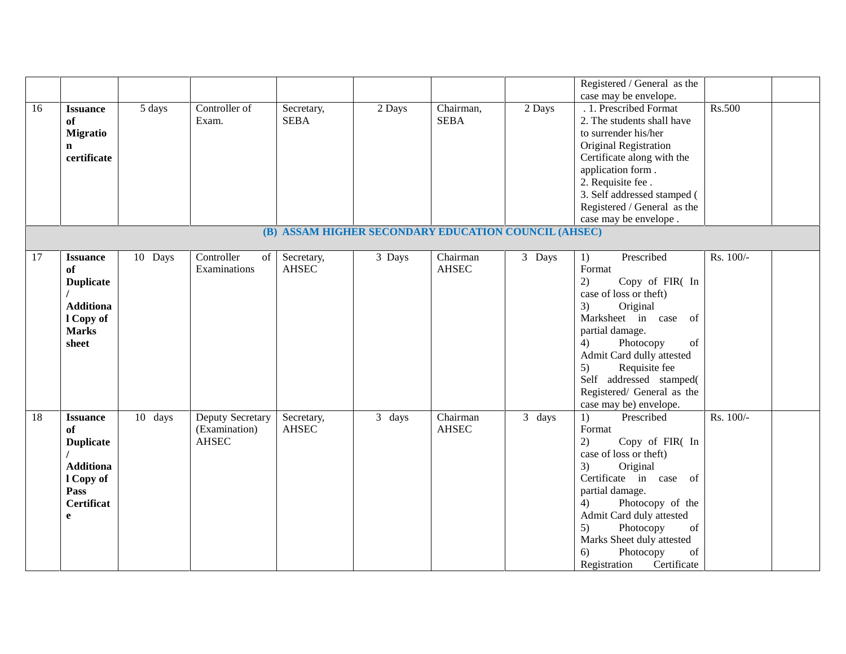|    |                                                                                                              |         |                                                   |                            |                                                      |                          |        | Registered / General as the<br>case may be envelope.                                                                                                                                                                                                                                                                                                                                                             |           |
|----|--------------------------------------------------------------------------------------------------------------|---------|---------------------------------------------------|----------------------------|------------------------------------------------------|--------------------------|--------|------------------------------------------------------------------------------------------------------------------------------------------------------------------------------------------------------------------------------------------------------------------------------------------------------------------------------------------------------------------------------------------------------------------|-----------|
| 16 | <b>Issuance</b><br>of<br><b>Migratio</b><br>$\mathbf n$<br>certificate                                       | 5 days  | Controller of<br>Exam.                            | Secretary,<br><b>SEBA</b>  | 2 Days                                               | Chairman,<br><b>SEBA</b> | 2 Days | .1. Prescribed Format<br>2. The students shall have<br>to surrender his/her<br>Original Registration<br>Certificate along with the<br>application form.<br>2. Requisite fee .<br>3. Self addressed stamped (<br>Registered / General as the<br>case may be envelope.                                                                                                                                             | Rs.500    |
|    |                                                                                                              |         |                                                   |                            | (B) ASSAM HIGHER SECONDARY EDUCATION COUNCIL (AHSEC) |                          |        |                                                                                                                                                                                                                                                                                                                                                                                                                  |           |
| 17 | <b>Issuance</b><br>of<br><b>Duplicate</b><br><b>Additiona</b><br>l Copy of<br><b>Marks</b><br>sheet          | 10 Days | Controller<br>of<br>Examinations                  | Secretary,<br><b>AHSEC</b> | 3 Days                                               | Chairman<br><b>AHSEC</b> | 3 Days | Prescribed<br>1)<br>Format<br>2)<br>Copy of FIR( In<br>case of loss or theft)<br>3)<br>Original<br>Marksheet in case<br>of<br>partial damage.<br>Photocopy<br>of<br>4)<br>Admit Card dully attested<br>Requisite fee<br>5)<br>Self addressed stamped(<br>Registered/ General as the<br>case may be) envelope.                                                                                                    | Rs. 100/- |
| 18 | <b>Issuance</b><br>of<br><b>Duplicate</b><br><b>Additiona</b><br>l Copy of<br>Pass<br><b>Certificat</b><br>e | 10 days | Deputy Secretary<br>(Examination)<br><b>AHSEC</b> | Secretary,<br><b>AHSEC</b> | 3 days                                               | Chairman<br><b>AHSEC</b> | 3 days | 1)<br>Prescribed<br>Format<br>2)<br>Copy of FIR( In<br>case of loss or theft)<br>Original<br>3)<br>Certificate in case of<br>partial damage.<br>Photocopy of the<br>4)<br>Admit Card duly attested<br>Photocopy<br>$% \left( \left( \mathcal{A},\mathcal{A}\right) \right) =\left( \mathcal{A},\mathcal{A}\right)$ of<br>5)<br>Marks Sheet duly attested<br>Photocopy<br>of<br>6)<br>Registration<br>Certificate | Rs. 100/- |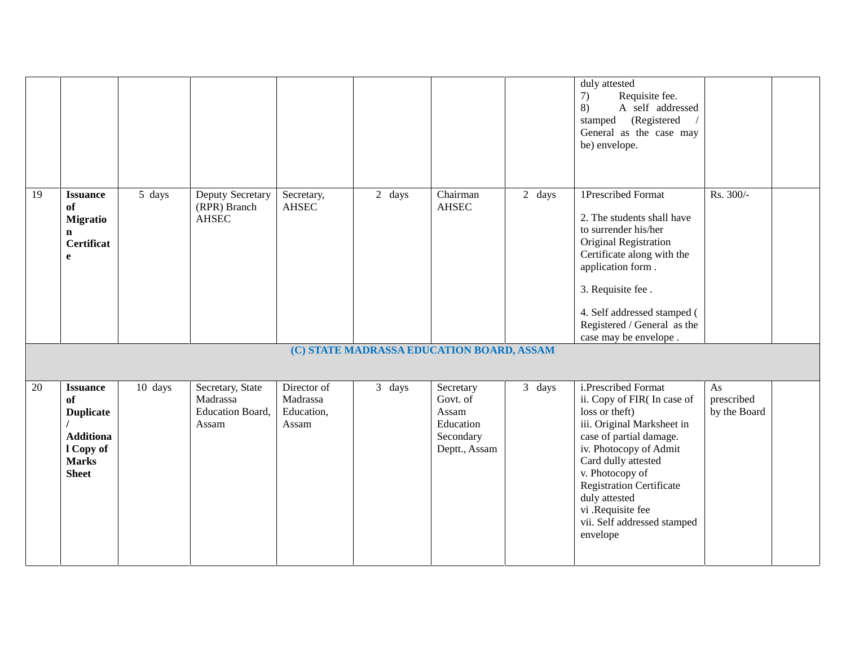|        |                                                                                                            |         |                                                           |                                                |                                           |                                                                           |        | duly attested<br>7)<br>Requisite fee.<br>8)<br>A self addressed<br>(Registered<br>stamped<br>General as the case may<br>be) envelope.                                                                                                                                                                                |                                  |  |
|--------|------------------------------------------------------------------------------------------------------------|---------|-----------------------------------------------------------|------------------------------------------------|-------------------------------------------|---------------------------------------------------------------------------|--------|----------------------------------------------------------------------------------------------------------------------------------------------------------------------------------------------------------------------------------------------------------------------------------------------------------------------|----------------------------------|--|
| 19     | <b>Issuance</b><br>of<br><b>Migratio</b><br>$\mathbf n$<br><b>Certificat</b><br>e                          | 5 days  | Deputy Secretary<br>(RPR) Branch<br><b>AHSEC</b>          | Secretary,<br><b>AHSEC</b>                     | 2 days                                    | Chairman<br><b>AHSEC</b>                                                  | 2 days | 1Prescribed Format<br>2. The students shall have<br>to surrender his/her<br>Original Registration<br>Certificate along with the<br>application form.<br>3. Requisite fee.<br>4. Self addressed stamped (<br>Registered / General as the<br>case may be envelope.                                                     | Rs. 300/-                        |  |
|        |                                                                                                            |         |                                                           |                                                | (C) STATE MADRASSA EDUCATION BOARD, ASSAM |                                                                           |        |                                                                                                                                                                                                                                                                                                                      |                                  |  |
| $20\,$ | <b>Issuance</b><br>of<br><b>Duplicate</b><br><b>Additiona</b><br>1 Copy of<br><b>Marks</b><br><b>Sheet</b> | 10 days | Secretary, State<br>Madrassa<br>Education Board,<br>Assam | Director of<br>Madrassa<br>Education,<br>Assam | 3 days                                    | Secretary<br>Govt. of<br>Assam<br>Education<br>Secondary<br>Deptt., Assam | 3 days | i.Prescribed Format<br>ii. Copy of FIR(In case of<br>loss or theft)<br>iii. Original Marksheet in<br>case of partial damage.<br>iv. Photocopy of Admit<br>Card dully attested<br>v. Photocopy of<br><b>Registration Certificate</b><br>duly attested<br>vi .Requisite fee<br>vii. Self addressed stamped<br>envelope | As<br>prescribed<br>by the Board |  |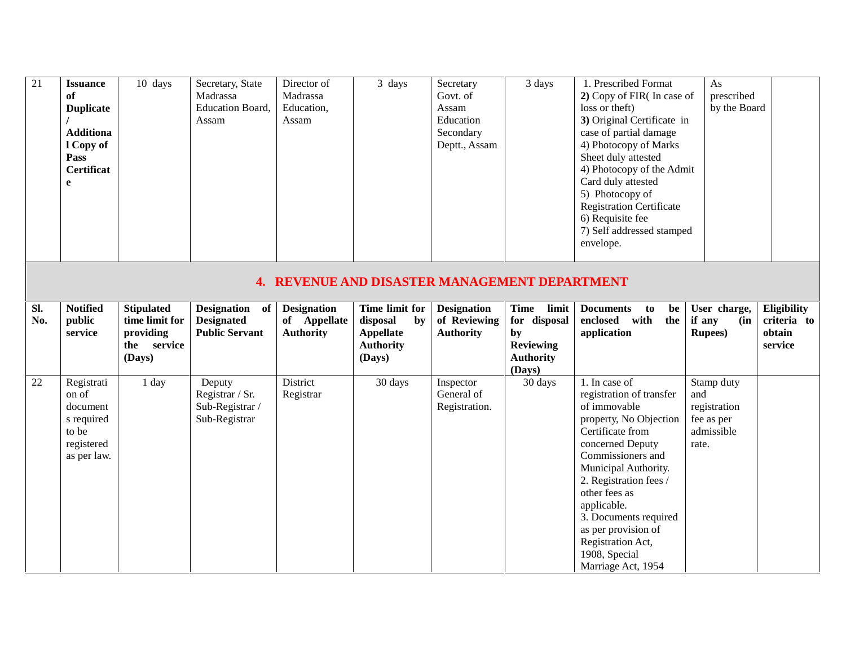| 21         | <b>Issuance</b><br>оf<br><b>Duplicate</b><br><b>Additiona</b><br>l Copy of<br>Pass<br>Certificat<br>e | 10 days                                                            | Secretary, State<br>Madrassa<br>Education Board,<br>Assam              | Director of<br>Madrassa<br>Education,<br>Assam         | 3 days                                                            | Secretary<br>Govt. of<br>Assam<br>Education<br>Secondary<br>Deptt., Assam | 3 days                                                  | 1. Prescribed Format<br>2) Copy of FIR(In case of<br>loss or theft)<br>3) Original Certificate in<br>case of partial damage<br>4) Photocopy of Marks<br>Sheet duly attested<br>4) Photocopy of the Admit<br>Card duly attested<br>5) Photocopy of<br><b>Registration Certificate</b><br>6) Requisite fee<br>7) Self addressed stamped<br>envelope. | As<br>prescribed<br>by the Board                 |                                                 |
|------------|-------------------------------------------------------------------------------------------------------|--------------------------------------------------------------------|------------------------------------------------------------------------|--------------------------------------------------------|-------------------------------------------------------------------|---------------------------------------------------------------------------|---------------------------------------------------------|----------------------------------------------------------------------------------------------------------------------------------------------------------------------------------------------------------------------------------------------------------------------------------------------------------------------------------------------------|--------------------------------------------------|-------------------------------------------------|
|            |                                                                                                       |                                                                    | 4.                                                                     |                                                        | <b>REVENUE AND DISASTER MANAGEMENT DEPARTMENT</b>                 |                                                                           |                                                         |                                                                                                                                                                                                                                                                                                                                                    |                                                  |                                                 |
| SI.<br>No. | <b>Notified</b><br>public<br>service                                                                  | <b>Stipulated</b><br>time limit for<br>providing<br>the<br>service | <b>Designation</b><br>of<br><b>Designated</b><br><b>Public Servant</b> | <b>Designation</b><br>of Appellate<br><b>Authority</b> | Time limit for<br>disposal<br>by<br>Appellate<br><b>Authority</b> | <b>Designation</b><br>of Reviewing<br><b>Authority</b>                    | Time<br>limit<br>for disposal<br>by<br><b>Reviewing</b> | <b>Documents</b><br>be<br>to<br>with<br>the<br>enclosed<br>application                                                                                                                                                                                                                                                                             | User charge,<br>if any<br>(in<br><b>Rupees</b> ) | Eligibility<br>criteria to<br>obtain<br>service |

|    | <b>SUIVILL</b>                                                                      | $\mu$ oviding<br>service<br>the<br>(Days) | T HUIK DUI VAIIL                                              | Authority             | $A$ ppenate<br><b>Authority</b><br>(Days) | Authority                                | IJ,<br><b>Reviewing</b><br><b>Authority</b><br>(Days) | application                                                                                                                                                                                                                                                                                                                                    | $\bf \mathbf{x}$ upces $\bf y$                                         | vviani<br>service |
|----|-------------------------------------------------------------------------------------|-------------------------------------------|---------------------------------------------------------------|-----------------------|-------------------------------------------|------------------------------------------|-------------------------------------------------------|------------------------------------------------------------------------------------------------------------------------------------------------------------------------------------------------------------------------------------------------------------------------------------------------------------------------------------------------|------------------------------------------------------------------------|-------------------|
| 22 | Registrati<br>on of<br>document<br>s required<br>to be<br>registered<br>as per law. | 1 day                                     | Deputy<br>Registrar / Sr.<br>Sub-Registrar /<br>Sub-Registrar | District<br>Registrar | 30 days                                   | Inspector<br>General of<br>Registration. | 30 days                                               | 1. In case of<br>registration of transfer<br>of immovable<br>property, No Objection<br>Certificate from<br>concerned Deputy<br>Commissioners and<br>Municipal Authority.<br>2. Registration fees /<br>other fees as<br>applicable.<br>3. Documents required<br>as per provision of<br>Registration Act,<br>1908, Special<br>Marriage Act, 1954 | Stamp duty<br>and<br>registration<br>fee as per<br>admissible<br>rate. |                   |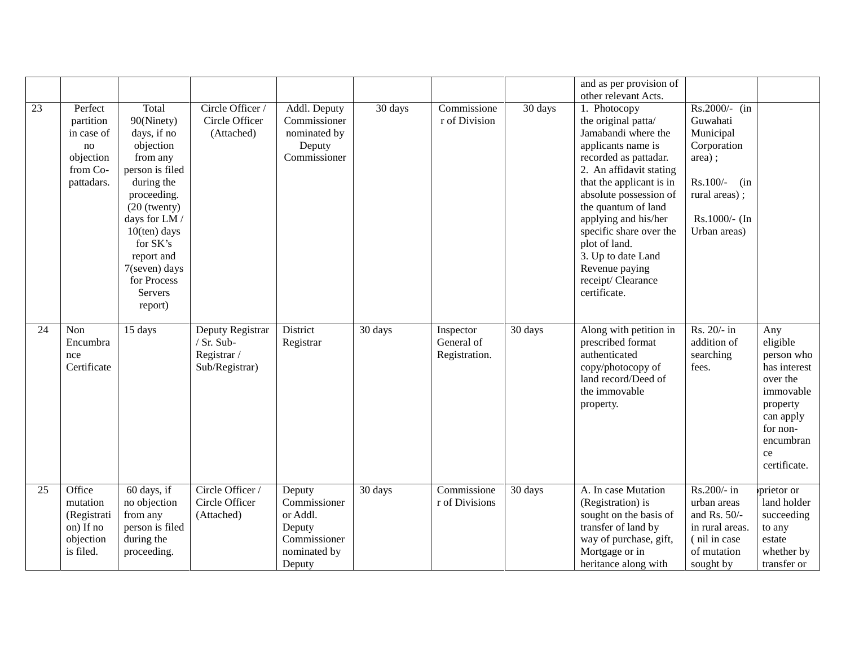|    |                                                                                 |                                                                                                                                                                                                                                                   |                                                                 |                                                                                        |         |                                          |         | and as per provision of<br>other relevant Acts.                                                                                                                                                                                                                                                                                                                    |                                                                                                                                        |                                                                                                                                                |
|----|---------------------------------------------------------------------------------|---------------------------------------------------------------------------------------------------------------------------------------------------------------------------------------------------------------------------------------------------|-----------------------------------------------------------------|----------------------------------------------------------------------------------------|---------|------------------------------------------|---------|--------------------------------------------------------------------------------------------------------------------------------------------------------------------------------------------------------------------------------------------------------------------------------------------------------------------------------------------------------------------|----------------------------------------------------------------------------------------------------------------------------------------|------------------------------------------------------------------------------------------------------------------------------------------------|
| 23 | Perfect<br>partition<br>in case of<br>no<br>objection<br>from Co-<br>pattadars. | Total<br>90(Ninety)<br>days, if no<br>objection<br>from any<br>person is filed<br>during the<br>proceeding.<br>$(20$ (twenty)<br>days for LM /<br>$10$ (ten) days<br>for SK's<br>report and<br>7(seven) days<br>for Process<br>Servers<br>report) | Circle Officer /<br>Circle Officer<br>(Attached)                | Addl. Deputy<br>Commissioner<br>nominated by<br>Deputy<br>Commissioner                 | 30 days | Commissione<br>r of Division             | 30 days | 1. Photocopy<br>the original patta/<br>Jamabandi where the<br>applicants name is<br>recorded as pattadar.<br>2. An affidavit stating<br>that the applicant is in<br>absolute possession of<br>the quantum of land<br>applying and his/her<br>specific share over the<br>plot of land.<br>3. Up to date Land<br>Revenue paying<br>receipt/Clearance<br>certificate. | Rs.2000/- (in<br>Guwahati<br>Municipal<br>Corporation<br>area);<br>$Rs.100/-$<br>(in<br>rural areas);<br>Rs.1000/- (In<br>Urban areas) |                                                                                                                                                |
| 24 | Non<br>Encumbra<br>nce<br>Certificate                                           | 15 days                                                                                                                                                                                                                                           | Deputy Registrar<br>/ Sr. Sub-<br>Registrar /<br>Sub/Registrar) | District<br>Registrar                                                                  | 30 days | Inspector<br>General of<br>Registration. | 30 days | Along with petition in<br>prescribed format<br>authenticated<br>copy/photocopy of<br>land record/Deed of<br>the immovable<br>property.                                                                                                                                                                                                                             | Rs. 20/- in<br>addition of<br>searching<br>fees.                                                                                       | Any<br>eligible<br>person who<br>has interest<br>over the<br>immovable<br>property<br>can apply<br>for non-<br>encumbran<br>ce<br>certificate. |
| 25 | Office<br>mutation<br>(Registrati<br>on) If no<br>objection<br>is filed.        | 60 days, if<br>no objection<br>from any<br>person is filed<br>during the<br>proceeding.                                                                                                                                                           | Circle Officer /<br>Circle Officer<br>(Attached)                | Deputy<br>Commissioner<br>or Addl.<br>Deputy<br>Commissioner<br>nominated by<br>Deputy | 30 days | Commissione<br>r of Divisions            | 30 days | A. In case Mutation<br>(Registration) is<br>sought on the basis of<br>transfer of land by<br>way of purchase, gift,<br>Mortgage or in<br>heritance along with                                                                                                                                                                                                      | Rs.200/- in<br>urban areas<br>and Rs. $50/-$<br>in rural areas.<br>(nil in case<br>of mutation<br>sought by                            | prietor or<br>land holder<br>succeeding<br>to any<br>estate<br>whether by<br>transfer or                                                       |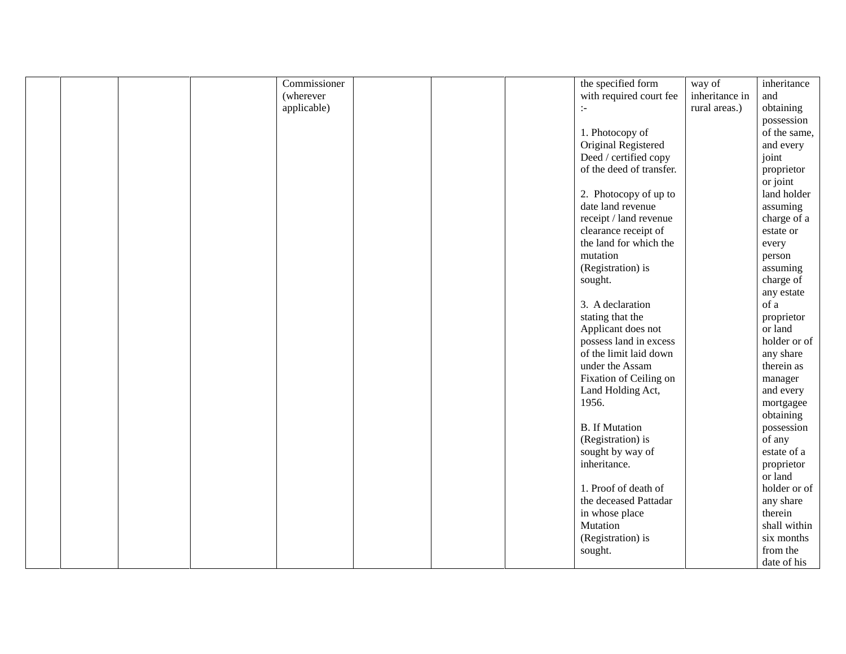|  | Commissioner |  | the specified form       | way of         | inheritance  |
|--|--------------|--|--------------------------|----------------|--------------|
|  | (wherever    |  | with required court fee  | inheritance in | and          |
|  | applicable)  |  | $\mathbb{H}$             | rural areas.)  | obtaining    |
|  |              |  |                          |                | possession   |
|  |              |  | 1. Photocopy of          |                | of the same, |
|  |              |  | Original Registered      |                | and every    |
|  |              |  | Deed / certified copy    |                | joint        |
|  |              |  | of the deed of transfer. |                | proprietor   |
|  |              |  |                          |                | or joint     |
|  |              |  | 2. Photocopy of up to    |                | land holder  |
|  |              |  | date land revenue        |                | assuming     |
|  |              |  | receipt / land revenue   |                | charge of a  |
|  |              |  | clearance receipt of     |                | estate or    |
|  |              |  | the land for which the   |                | every        |
|  |              |  | mutation                 |                | person       |
|  |              |  | (Registration) is        |                | assuming     |
|  |              |  | sought.                  |                | charge of    |
|  |              |  |                          |                | any estate   |
|  |              |  | 3. A declaration         |                | of a         |
|  |              |  | stating that the         |                | proprietor   |
|  |              |  | Applicant does not       |                | or land      |
|  |              |  | possess land in excess   |                | holder or of |
|  |              |  | of the limit laid down   |                | any share    |
|  |              |  | under the Assam          |                | therein as   |
|  |              |  | Fixation of Ceiling on   |                | manager      |
|  |              |  | Land Holding Act,        |                | and every    |
|  |              |  | 1956.                    |                | mortgagee    |
|  |              |  |                          |                | obtaining    |
|  |              |  | <b>B.</b> If Mutation    |                | possession   |
|  |              |  | (Registration) is        |                | of any       |
|  |              |  | sought by way of         |                | estate of a  |
|  |              |  | inheritance.             |                | proprietor   |
|  |              |  |                          |                | or land      |
|  |              |  | 1. Proof of death of     |                | holder or of |
|  |              |  | the deceased Pattadar    |                | any share    |
|  |              |  | in whose place           |                | therein      |
|  |              |  | Mutation                 |                | shall within |
|  |              |  | (Registration) is        |                | six months   |
|  |              |  | sought.                  |                | from the     |
|  |              |  |                          |                | date of his  |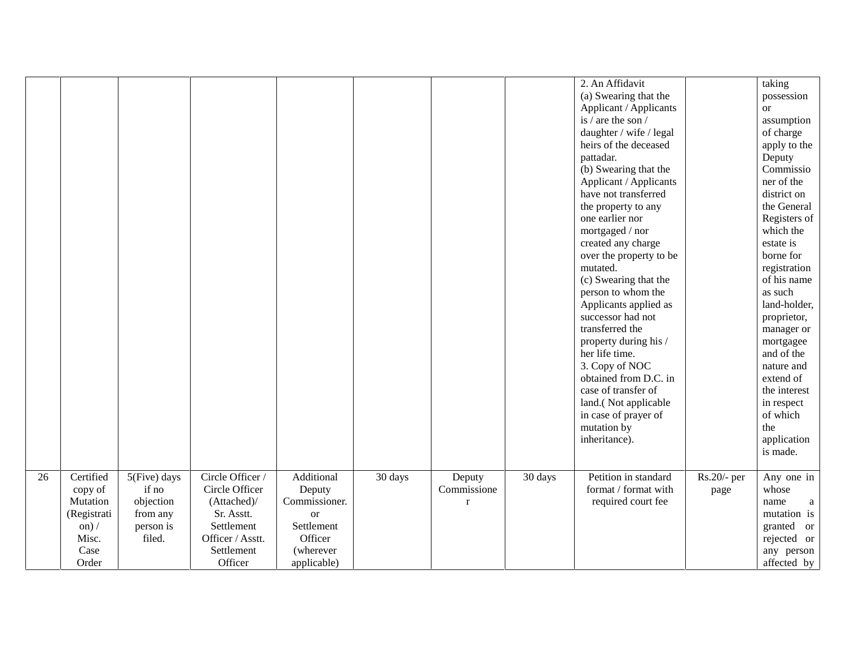|    |              |              |                  |               |                      |             |         | 2. An Affidavit         |             | taking                      |
|----|--------------|--------------|------------------|---------------|----------------------|-------------|---------|-------------------------|-------------|-----------------------------|
|    |              |              |                  |               |                      |             |         | (a) Swearing that the   |             | possession                  |
|    |              |              |                  |               |                      |             |         | Applicant / Applicants  |             | <b>or</b>                   |
|    |              |              |                  |               |                      |             |         | is / are the son /      |             | assumption                  |
|    |              |              |                  |               |                      |             |         | daughter / wife / legal |             | of charge                   |
|    |              |              |                  |               |                      |             |         | heirs of the deceased   |             | apply to the                |
|    |              |              |                  |               |                      |             |         | pattadar.               |             | Deputy                      |
|    |              |              |                  |               |                      |             |         | (b) Swearing that the   |             | Commissio                   |
|    |              |              |                  |               |                      |             |         | Applicant / Applicants  |             | ner of the                  |
|    |              |              |                  |               |                      |             |         | have not transferred    |             | district on                 |
|    |              |              |                  |               |                      |             |         | the property to any     |             | the General                 |
|    |              |              |                  |               |                      |             |         | one earlier nor         |             | Registers of                |
|    |              |              |                  |               |                      |             |         | mortgaged / nor         |             | which the                   |
|    |              |              |                  |               |                      |             |         | created any charge      |             | estate is                   |
|    |              |              |                  |               |                      |             |         | over the property to be |             | borne for                   |
|    |              |              |                  |               |                      |             |         | mutated.                |             |                             |
|    |              |              |                  |               |                      |             |         |                         |             | registration<br>of his name |
|    |              |              |                  |               |                      |             |         | (c) Swearing that the   |             |                             |
|    |              |              |                  |               |                      |             |         | person to whom the      |             | as such                     |
|    |              |              |                  |               |                      |             |         | Applicants applied as   |             | land-holder,                |
|    |              |              |                  |               |                      |             |         | successor had not       |             | proprietor,                 |
|    |              |              |                  |               |                      |             |         | transferred the         |             | manager or                  |
|    |              |              |                  |               |                      |             |         | property during his /   |             | mortgagee                   |
|    |              |              |                  |               |                      |             |         | her life time.          |             | and of the                  |
|    |              |              |                  |               |                      |             |         | 3. Copy of NOC          |             | nature and                  |
|    |              |              |                  |               |                      |             |         | obtained from D.C. in   |             | extend of                   |
|    |              |              |                  |               |                      |             |         | case of transfer of     |             | the interest                |
|    |              |              |                  |               |                      |             |         | land.(Not applicable    |             | in respect                  |
|    |              |              |                  |               |                      |             |         | in case of prayer of    |             | of which                    |
|    |              |              |                  |               |                      |             |         | mutation by             |             | the                         |
|    |              |              |                  |               |                      |             |         | inheritance).           |             | application                 |
|    |              |              |                  |               |                      |             |         |                         |             | is made.                    |
|    |              |              |                  |               |                      |             |         |                         |             |                             |
| 26 | Certified    | 5(Five) days | Circle Officer / | Additional    | $\overline{30}$ days | Deputy      | 30 days | Petition in standard    | Rs.20/- per | Any one in                  |
|    | copy of      | if no        | Circle Officer   | Deputy        |                      | Commissione |         | format / format with    | page        | whose                       |
|    | Mutation     | objection    | (Attached)/      | Commissioner. |                      | $\mathbf r$ |         | required court fee      |             | name<br>$\mathbf{a}$        |
|    | (Registrati  | from any     | Sr. Asstt.       | <b>or</b>     |                      |             |         |                         |             | mutation is                 |
|    | on) $\prime$ | person is    | Settlement       | Settlement    |                      |             |         |                         |             | granted or                  |
|    | Misc.        | filed.       | Officer / Asstt. | Officer       |                      |             |         |                         |             | rejected or                 |
|    | Case         |              | Settlement       | (wherever     |                      |             |         |                         |             | any person                  |
|    | Order        |              | Officer          | applicable)   |                      |             |         |                         |             | affected by                 |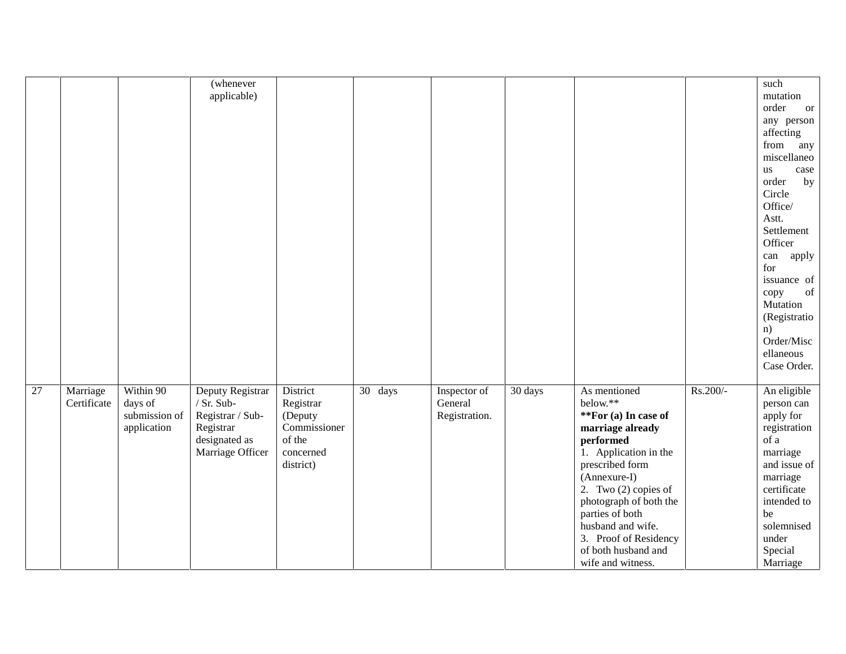|    |             |               | (whenever        |              |         |               |         |                        |          | such               |
|----|-------------|---------------|------------------|--------------|---------|---------------|---------|------------------------|----------|--------------------|
|    |             |               | applicable)      |              |         |               |         |                        |          | mutation           |
|    |             |               |                  |              |         |               |         |                        |          | order<br><b>or</b> |
|    |             |               |                  |              |         |               |         |                        |          | any person         |
|    |             |               |                  |              |         |               |         |                        |          | affecting          |
|    |             |               |                  |              |         |               |         |                        |          | from<br>any        |
|    |             |               |                  |              |         |               |         |                        |          | miscellaneo        |
|    |             |               |                  |              |         |               |         |                        |          | case<br>us         |
|    |             |               |                  |              |         |               |         |                        |          | order<br>by        |
|    |             |               |                  |              |         |               |         |                        |          | Circle             |
|    |             |               |                  |              |         |               |         |                        |          | Office/            |
|    |             |               |                  |              |         |               |         |                        |          | Astt.              |
|    |             |               |                  |              |         |               |         |                        |          | Settlement         |
|    |             |               |                  |              |         |               |         |                        |          | Officer            |
|    |             |               |                  |              |         |               |         |                        |          | apply<br>can       |
|    |             |               |                  |              |         |               |         |                        |          | for                |
|    |             |               |                  |              |         |               |         |                        |          | issuance of        |
|    |             |               |                  |              |         |               |         |                        |          | of<br>copy         |
|    |             |               |                  |              |         |               |         |                        |          | Mutation           |
|    |             |               |                  |              |         |               |         |                        |          | (Registratio       |
|    |             |               |                  |              |         |               |         |                        |          | n)                 |
|    |             |               |                  |              |         |               |         |                        |          | Order/Misc         |
|    |             |               |                  |              |         |               |         |                        |          | ellaneous          |
|    |             |               |                  |              |         |               |         |                        |          | Case Order.        |
| 27 | Marriage    | Within 90     | Deputy Registrar | District     | 30 days | Inspector of  | 30 days | As mentioned           | Rs.200/- | An eligible        |
|    | Certificate | days of       | / Sr. Sub-       | Registrar    |         | General       |         | below.**               |          | person can         |
|    |             | submission of | Registrar / Sub- | (Deputy      |         | Registration. |         | **For (a) In case of   |          | apply for          |
|    |             | application   | Registrar        | Commissioner |         |               |         | marriage already       |          | registration       |
|    |             |               | designated as    | of the       |         |               |         | performed              |          | of a               |
|    |             |               | Marriage Officer | concerned    |         |               |         | 1. Application in the  |          | marriage           |
|    |             |               |                  | district)    |         |               |         | prescribed form        |          | and issue of       |
|    |             |               |                  |              |         |               |         | (Annexure-I)           |          | marriage           |
|    |             |               |                  |              |         |               |         | 2. Two $(2)$ copies of |          | certificate        |
|    |             |               |                  |              |         |               |         | photograph of both the |          | intended to        |
|    |             |               |                  |              |         |               |         | parties of both        |          | be                 |
|    |             |               |                  |              |         |               |         | husband and wife.      |          | solemnised         |
|    |             |               |                  |              |         |               |         | 3. Proof of Residency  |          | under              |
|    |             |               |                  |              |         |               |         | of both husband and    |          | Special            |
|    |             |               |                  |              |         |               |         | wife and witness.      |          | Marriage           |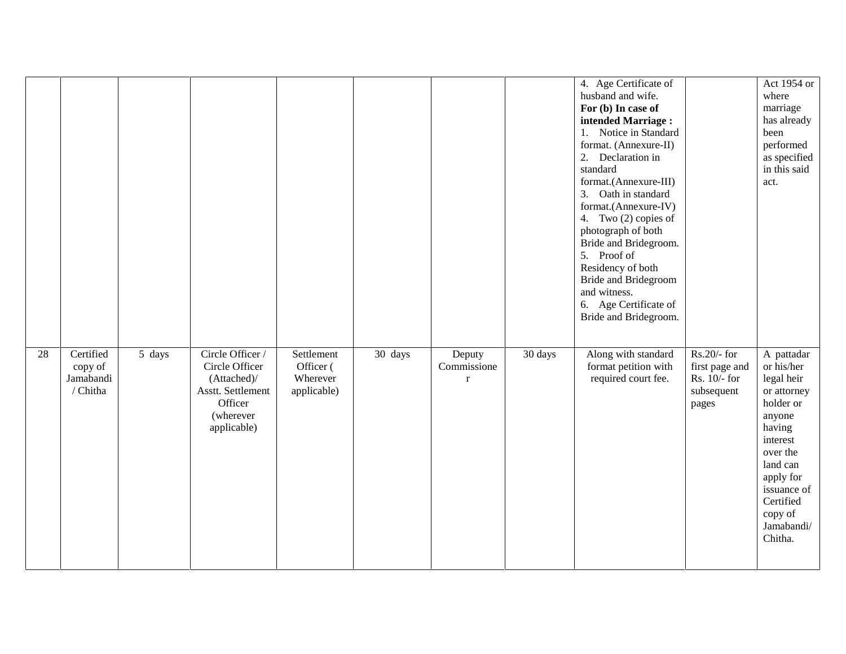|    |                                               |        |                                                                                                               |                                                    |         |                                      |         | 4. Age Certificate of<br>husband and wife.<br>For (b) In case of<br>intended Marriage:<br>1. Notice in Standard<br>format. (Annexure-II)<br>2. Declaration in<br>standard<br>format.(Annexure-III)<br>3. Oath in standard<br>format.(Annexure-IV)<br>4. Two (2) copies of<br>photograph of both<br>Bride and Bridegroom.<br>5. Proof of<br>Residency of both<br><b>Bride and Bridegroom</b><br>and witness.<br>6. Age Certificate of<br>Bride and Bridegroom. |                                                                        | Act 1954 or<br>where<br>marriage<br>has already<br>been<br>performed<br>as specified<br>in this said<br>act.                                                                                            |
|----|-----------------------------------------------|--------|---------------------------------------------------------------------------------------------------------------|----------------------------------------------------|---------|--------------------------------------|---------|---------------------------------------------------------------------------------------------------------------------------------------------------------------------------------------------------------------------------------------------------------------------------------------------------------------------------------------------------------------------------------------------------------------------------------------------------------------|------------------------------------------------------------------------|---------------------------------------------------------------------------------------------------------------------------------------------------------------------------------------------------------|
| 28 | Certified<br>copy of<br>Jamabandi<br>/ Chitha | 5 days | Circle Officer /<br>Circle Officer<br>(Attached)/<br>Asstt. Settlement<br>Officer<br>(wherever<br>applicable) | Settlement<br>Officer (<br>Wherever<br>applicable) | 30 days | Deputy<br>Commissione<br>$\mathbf r$ | 30 days | Along with standard<br>format petition with<br>required court fee.                                                                                                                                                                                                                                                                                                                                                                                            | $Rs.20/5$ for<br>first page and<br>Rs. 10/- for<br>subsequent<br>pages | A pattadar<br>or his/her<br>legal heir<br>or attorney<br>holder or<br>anyone<br>having<br>interest<br>over the<br>land can<br>apply for<br>issuance of<br>Certified<br>copy of<br>Jamabandi/<br>Chitha. |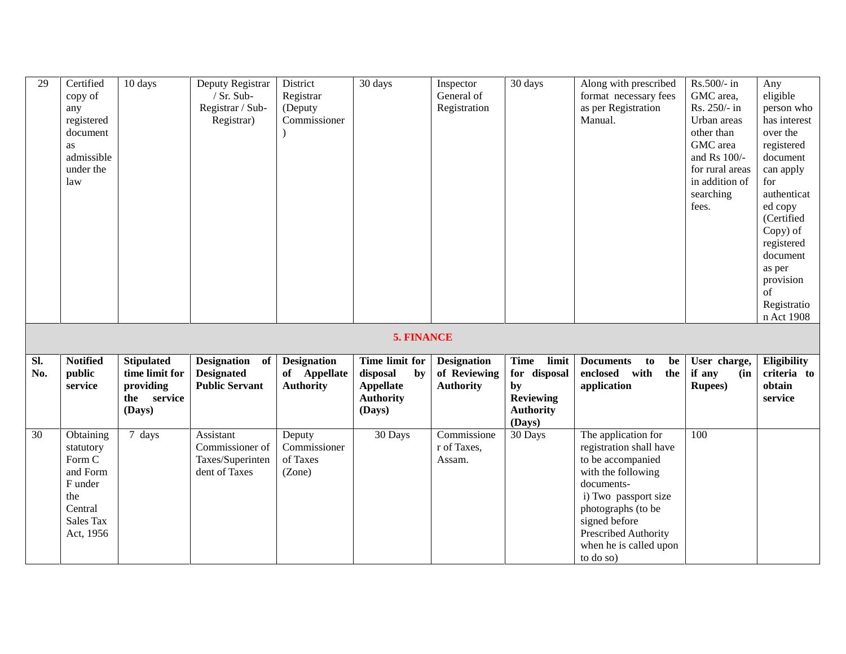| 29         | Certified<br>copy of<br>any<br>registered<br>document<br>as<br>admissible<br>under the<br>law       | 10 days                                                                   | Deputy Registrar<br>/ $Sr. Sub-$<br>Registrar / Sub-<br>Registrar) | District<br>Registrar<br>(Deputy<br>Commissioner       | 30 days                                                                            | Inspector<br>General of<br>Registration                | 30 days                                                                            | Along with prescribed<br>format necessary fees<br>as per Registration<br>Manual.                                                                                                                                                      | Rs.500/- in<br>GMC area,<br>Rs. 250/- in<br>Urban areas<br>other than<br>GMC area<br>and Rs 100/-<br>for rural areas<br>in addition of<br>searching<br>fees. | Any<br>eligible<br>person who<br>has interest<br>over the<br>registered<br>document<br>can apply<br>for<br>authenticat<br>ed copy<br>(Certified<br>Copy) of<br>registered<br>document<br>as per<br>provision<br>of<br>Registratio<br>n Act 1908 |
|------------|-----------------------------------------------------------------------------------------------------|---------------------------------------------------------------------------|--------------------------------------------------------------------|--------------------------------------------------------|------------------------------------------------------------------------------------|--------------------------------------------------------|------------------------------------------------------------------------------------|---------------------------------------------------------------------------------------------------------------------------------------------------------------------------------------------------------------------------------------|--------------------------------------------------------------------------------------------------------------------------------------------------------------|-------------------------------------------------------------------------------------------------------------------------------------------------------------------------------------------------------------------------------------------------|
|            |                                                                                                     |                                                                           |                                                                    |                                                        | 5. FINANCE                                                                         |                                                        |                                                                                    |                                                                                                                                                                                                                                       |                                                                                                                                                              |                                                                                                                                                                                                                                                 |
| SI.<br>No. | <b>Notified</b><br>public<br>service                                                                | <b>Stipulated</b><br>time limit for<br>providing<br>the service<br>(Days) | Designation of<br><b>Designated</b><br><b>Public Servant</b>       | <b>Designation</b><br>of Appellate<br><b>Authority</b> | Time limit for<br>disposal<br>by<br><b>Appellate</b><br><b>Authority</b><br>(Days) | <b>Designation</b><br>of Reviewing<br><b>Authority</b> | Time limit<br>for disposal<br>by<br><b>Reviewing</b><br><b>Authority</b><br>(Days) | <b>Documents</b><br>to<br>be<br>enclosed with<br>the<br>application                                                                                                                                                                   | User charge,<br>if any<br>(in<br><b>Rupees</b> )                                                                                                             | Eligibility<br>criteria to<br>obtain<br>service                                                                                                                                                                                                 |
| 30         | Obtaining<br>statutory<br>Form C<br>and Form<br>F under<br>the<br>Central<br>Sales Tax<br>Act, 1956 | 7 days                                                                    | Assistant<br>Commissioner of<br>Taxes/Superinten<br>dent of Taxes  | Deputy<br>Commissioner<br>of Taxes<br>(Zone)           | 30 Days                                                                            | Commissione<br>r of Taxes,<br>Assam.                   | 30 Days                                                                            | The application for<br>registration shall have<br>to be accompanied<br>with the following<br>documents-<br>i) Two passport size<br>photographs (to be<br>signed before<br>Prescribed Authority<br>when he is called upon<br>to do so) | 100                                                                                                                                                          |                                                                                                                                                                                                                                                 |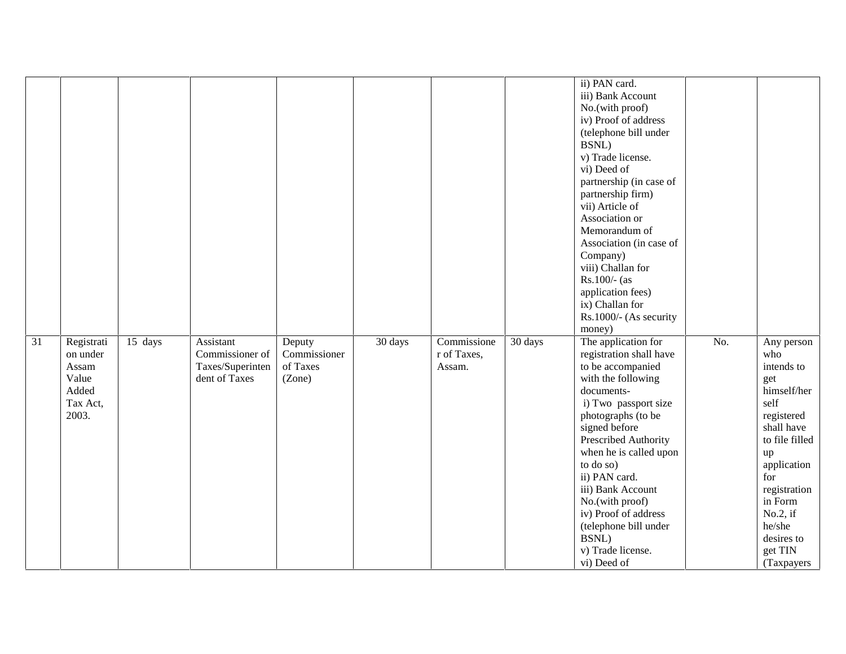|    |                                                                        |         |                                                                   |                                              |         |                                      |         | ii) PAN card.<br>iii) Bank Account<br>No.(with proof)<br>iv) Proof of address<br>(telephone bill under<br>BSNL)<br>v) Trade license.<br>vi) Deed of<br>partnership (in case of<br>partnership firm)<br>vii) Article of<br>Association or<br>Memorandum of<br>Association (in case of<br>Company)<br>viii) Challan for<br>Rs.100/- (as<br>application fees)<br>ix) Challan for<br>Rs.1000/- (As security<br>money) |     |                                                                                                                                                                                                                                     |
|----|------------------------------------------------------------------------|---------|-------------------------------------------------------------------|----------------------------------------------|---------|--------------------------------------|---------|-------------------------------------------------------------------------------------------------------------------------------------------------------------------------------------------------------------------------------------------------------------------------------------------------------------------------------------------------------------------------------------------------------------------|-----|-------------------------------------------------------------------------------------------------------------------------------------------------------------------------------------------------------------------------------------|
| 31 | Registrati<br>on under<br>Assam<br>Value<br>Added<br>Tax Act,<br>2003. | 15 days | Assistant<br>Commissioner of<br>Taxes/Superinten<br>dent of Taxes | Deputy<br>Commissioner<br>of Taxes<br>(Zone) | 30 days | Commissione<br>r of Taxes,<br>Assam. | 30 days | The application for<br>registration shall have<br>to be accompanied<br>with the following<br>documents-<br>i) Two passport size<br>photographs (to be<br>signed before<br>Prescribed Authority<br>when he is called upon<br>to do so)<br>ii) PAN card.<br>iii) Bank Account<br>No.(with proof)<br>iv) Proof of address<br>(telephone bill under<br>BSNL)<br>v) Trade license.<br>vi) Deed of                      | No. | Any person<br>who<br>intends to<br>get<br>himself/her<br>self<br>registered<br>shall have<br>to file filled<br>up<br>application<br>for<br>registration<br>in Form<br>$No.2$ , if<br>he/she<br>desires to<br>get TIN<br>(Taxpayers) |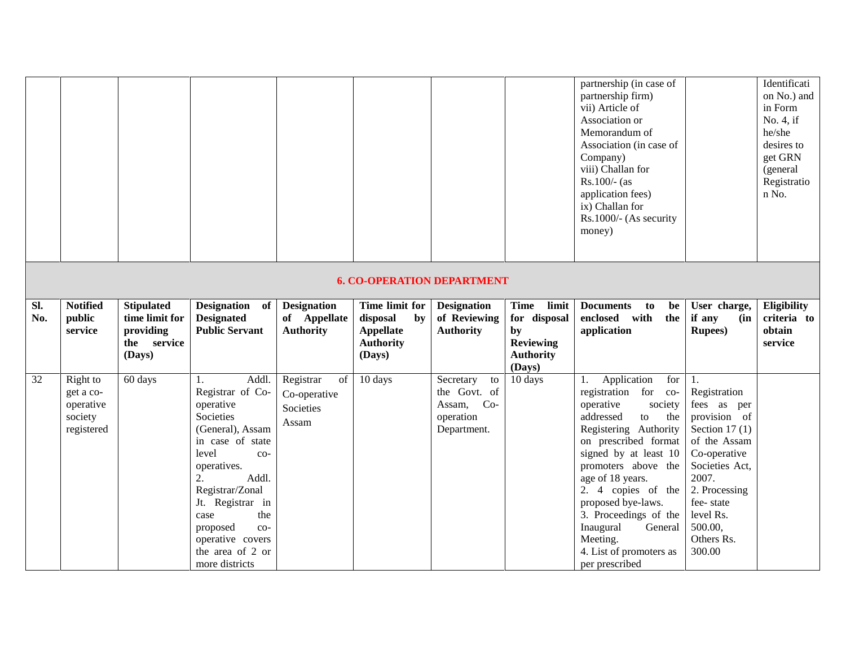|            |                                                             |                                                                           |                                                                                                                                                                                                                                                                                        |                                                        |                                                                                    |                                                                           |                                                                                              | partnership (in case of<br>partnership firm)<br>vii) Article of<br>Association or<br>Memorandum of<br>Association (in case of<br>Company)<br>viii) Challan for<br>$Rs.100/-$ (as<br>application fees)<br>ix) Challan for<br>Rs.1000/- (As security<br>money)                                                                                                                  |                                                                                                                                                                                                                | Identificati<br>on No.) and<br>in Form<br>No. 4, if<br>he/she<br>desires to<br>get GRN<br>(general<br>Registratio<br>n No. |
|------------|-------------------------------------------------------------|---------------------------------------------------------------------------|----------------------------------------------------------------------------------------------------------------------------------------------------------------------------------------------------------------------------------------------------------------------------------------|--------------------------------------------------------|------------------------------------------------------------------------------------|---------------------------------------------------------------------------|----------------------------------------------------------------------------------------------|-------------------------------------------------------------------------------------------------------------------------------------------------------------------------------------------------------------------------------------------------------------------------------------------------------------------------------------------------------------------------------|----------------------------------------------------------------------------------------------------------------------------------------------------------------------------------------------------------------|----------------------------------------------------------------------------------------------------------------------------|
|            |                                                             |                                                                           |                                                                                                                                                                                                                                                                                        |                                                        | <b>6. CO-OPERATION DEPARTMENT</b>                                                  |                                                                           |                                                                                              |                                                                                                                                                                                                                                                                                                                                                                               |                                                                                                                                                                                                                |                                                                                                                            |
| Sl.<br>No. | <b>Notified</b><br>public<br>service                        | <b>Stipulated</b><br>time limit for<br>providing<br>the service<br>(Days) | Designation of<br><b>Designated</b><br><b>Public Servant</b>                                                                                                                                                                                                                           | <b>Designation</b><br>of Appellate<br><b>Authority</b> | Time limit for<br>disposal<br>by<br><b>Appellate</b><br><b>Authority</b><br>(Days) | <b>Designation</b><br>of Reviewing<br><b>Authority</b>                    | limit<br><b>Time</b><br>for disposal<br>by<br><b>Reviewing</b><br><b>Authority</b><br>(Days) | <b>Documents</b><br>to<br>be<br>enclosed with<br>the<br>application                                                                                                                                                                                                                                                                                                           | User charge,<br>if any<br>(in<br><b>Rupees</b> )                                                                                                                                                               | Eligibility<br>criteria to<br>obtain<br>service                                                                            |
| 32         | Right to<br>get a co-<br>operative<br>society<br>registered | 60 days                                                                   | Addl.<br>1.<br>Registrar of Co-<br>operative<br>Societies<br>(General), Assam<br>in case of state<br>level<br>$CO-$<br>operatives.<br>2.<br>Addl.<br>Registrar/Zonal<br>Jt. Registrar in<br>the<br>case<br>proposed<br>$CO-$<br>operative covers<br>the area of 2 or<br>more districts | Registrar<br>of<br>Co-operative<br>Societies<br>Assam  | 10 days                                                                            | Secretary<br>to<br>the Govt. of<br>Assam, Co-<br>operation<br>Department. | 10 days                                                                                      | Application<br>for<br>1.<br>registration for co-<br>operative<br>society<br>addressed<br>to<br>the<br>Registering Authority<br>on prescribed format<br>signed by at least 10<br>promoters above the<br>age of 18 years.<br>2. 4 copies of the<br>proposed bye-laws.<br>3. Proceedings of the<br>Inaugural<br>General<br>Meeting.<br>4. List of promoters as<br>per prescribed | 1.<br>Registration<br>fees as per<br>provision of<br>Section 17 $(1)$<br>of the Assam<br>Co-operative<br>Societies Act,<br>2007.<br>2. Processing<br>fee-state<br>level Rs.<br>500.00,<br>Others Rs.<br>300.00 |                                                                                                                            |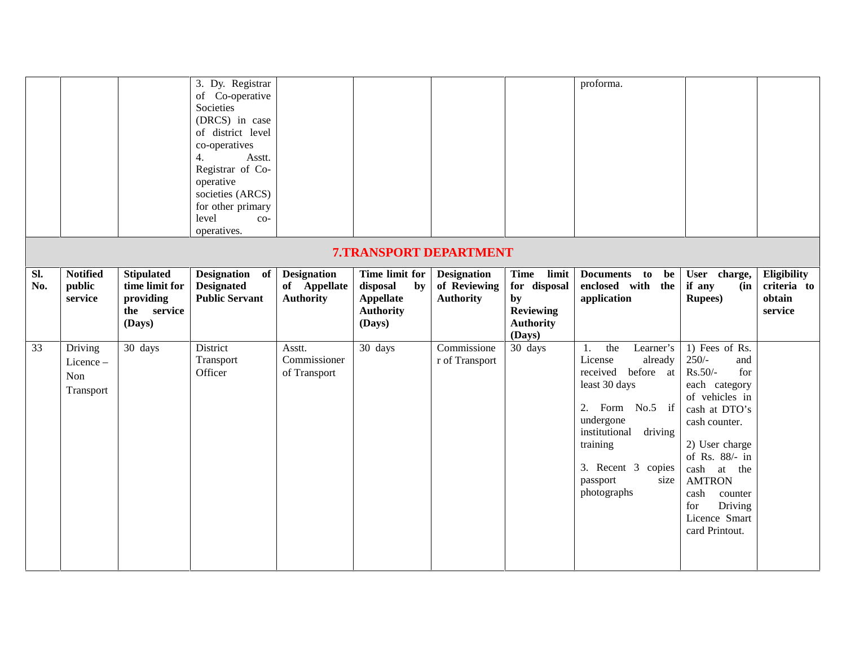|            |                                         |                                                                           | 3. Dy. Registrar<br>of Co-operative<br>Societies<br>(DRCS) in case<br>of district level<br>co-operatives<br>4.<br>Asstt.<br>Registrar of Co-<br>operative<br>societies (ARCS)<br>for other primary<br>level<br>$_{\rm CO-}$<br>operatives. |                                                        |                                                                                    |                                                        |                                                                                    | proforma.                                                                                                                                                                                                            |                                                                                                                                                                                                                                                                     |                                                 |
|------------|-----------------------------------------|---------------------------------------------------------------------------|--------------------------------------------------------------------------------------------------------------------------------------------------------------------------------------------------------------------------------------------|--------------------------------------------------------|------------------------------------------------------------------------------------|--------------------------------------------------------|------------------------------------------------------------------------------------|----------------------------------------------------------------------------------------------------------------------------------------------------------------------------------------------------------------------|---------------------------------------------------------------------------------------------------------------------------------------------------------------------------------------------------------------------------------------------------------------------|-------------------------------------------------|
|            |                                         |                                                                           |                                                                                                                                                                                                                                            |                                                        | <b>7.TRANSPORT DEPARTMENT</b>                                                      |                                                        |                                                                                    |                                                                                                                                                                                                                      |                                                                                                                                                                                                                                                                     |                                                 |
| SI.<br>No. | <b>Notified</b><br>public<br>service    | <b>Stipulated</b><br>time limit for<br>providing<br>the service<br>(Days) | Designation of<br><b>Designated</b><br><b>Public Servant</b>                                                                                                                                                                               | <b>Designation</b><br>of Appellate<br><b>Authority</b> | Time limit for<br>disposal<br>by<br><b>Appellate</b><br><b>Authority</b><br>(Days) | <b>Designation</b><br>of Reviewing<br><b>Authority</b> | Time limit<br>for disposal<br>by<br><b>Reviewing</b><br><b>Authority</b><br>(Days) | Documents to be<br>enclosed with the<br>application                                                                                                                                                                  | User charge,<br>if any<br>(in<br><b>Rupees</b> )                                                                                                                                                                                                                    | Eligibility<br>criteria to<br>obtain<br>service |
| 33         | Driving<br>Licence-<br>Non<br>Transport | 30 days                                                                   | District<br>Transport<br>Officer                                                                                                                                                                                                           | Asstt.<br>Commissioner<br>of Transport                 | 30 days                                                                            | Commissione<br>r of Transport                          | 30 days                                                                            | the<br>Learner's<br>1.<br>License<br>already<br>received before at<br>least 30 days<br>2. Form No.5 if<br>undergone<br>institutional<br>driving<br>training<br>3. Recent 3 copies<br>passport<br>size<br>photographs | 1) Fees of Rs.<br>$250/-$<br>and<br>Rs.50/-<br>for<br>each category<br>of vehicles in<br>cash at DTO's<br>cash counter.<br>2) User charge<br>of Rs. 88/- in<br>cash at the<br><b>AMTRON</b><br>cash<br>counter<br>Driving<br>for<br>Licence Smart<br>card Printout. |                                                 |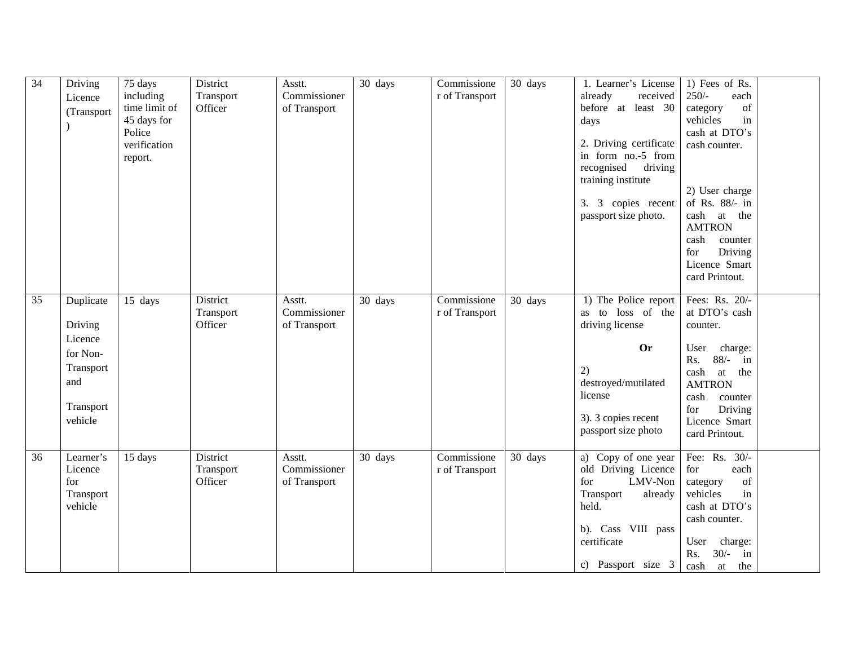| 34 | Driving              | 75 days       | District             | Asstt.                 | 30 days | Commissione    | 30 days | 1. Learner's License           | 1) Fees of Rs.            |
|----|----------------------|---------------|----------------------|------------------------|---------|----------------|---------|--------------------------------|---------------------------|
|    | Licence              | including     | Transport            | Commissioner           |         | r of Transport |         | already<br>received            | $250/-$<br>each           |
|    | (Transport           | time limit of | Officer              | of Transport           |         |                |         | before at least 30             | of<br>category            |
|    |                      | 45 days for   |                      |                        |         |                |         | days                           | vehicles<br>in            |
|    |                      | Police        |                      |                        |         |                |         |                                | cash at DTO's             |
|    |                      | verification  |                      |                        |         |                |         | 2. Driving certificate         | cash counter.             |
|    |                      | report.       |                      |                        |         |                |         | in form no.-5 from             |                           |
|    |                      |               |                      |                        |         |                |         | recognised<br>driving          |                           |
|    |                      |               |                      |                        |         |                |         | training institute             |                           |
|    |                      |               |                      |                        |         |                |         |                                | 2) User charge            |
|    |                      |               |                      |                        |         |                |         | 3. 3 copies recent             | of Rs. 88/- in            |
|    |                      |               |                      |                        |         |                |         | passport size photo.           | cash<br>at the            |
|    |                      |               |                      |                        |         |                |         |                                | <b>AMTRON</b>             |
|    |                      |               |                      |                        |         |                |         |                                | cash<br>counter           |
|    |                      |               |                      |                        |         |                |         |                                | Driving<br>for            |
|    |                      |               |                      |                        |         |                |         |                                | Licence Smart             |
|    |                      |               |                      |                        |         |                |         |                                | card Printout.            |
| 35 | Duplicate            | 15 days       | District             | Asstt.                 | 30 days | Commissione    | 30 days | 1) The Police report           | Fees: Rs. 20/-            |
|    |                      |               | Transport            | Commissioner           |         | r of Transport |         | as to loss of the              | at DTO's cash             |
|    | Driving              |               | Officer              | of Transport           |         |                |         | driving license                | counter.                  |
|    | Licence              |               |                      |                        |         |                |         |                                |                           |
|    | for Non-             |               |                      |                        |         |                |         | <b>Or</b>                      | User<br>charge:           |
|    |                      |               |                      |                        |         |                |         |                                | $88/-$<br>Rs.<br>in       |
|    | Transport            |               |                      |                        |         |                |         | 2)                             | cash<br>at<br>the         |
|    | and                  |               |                      |                        |         |                |         | destroyed/mutilated            | <b>AMTRON</b>             |
|    |                      |               |                      |                        |         |                |         | license                        | cash<br>counter           |
|    | Transport            |               |                      |                        |         |                |         |                                | Driving<br>for            |
|    | vehicle              |               |                      |                        |         |                |         | 3). 3 copies recent            | Licence Smart             |
|    |                      |               |                      |                        |         |                |         | passport size photo            | card Printout.            |
|    |                      |               |                      |                        |         |                |         |                                |                           |
| 36 | Learner's<br>Licence | 15 days       | District             | Asstt.<br>Commissioner | 30 days | Commissione    | 30 days | a) Copy of one year            | Fee: Rs.<br>$30/-$<br>for |
|    |                      |               | Transport<br>Officer |                        |         | r of Transport |         | old Driving Licence<br>LMV-Non | each                      |
|    | for                  |               |                      | of Transport           |         |                |         | for                            | of<br>category<br>in      |
|    | Transport<br>vehicle |               |                      |                        |         |                |         | Transport<br>already<br>held.  | vehicles<br>cash at DTO's |
|    |                      |               |                      |                        |         |                |         |                                |                           |
|    |                      |               |                      |                        |         |                |         | b). Cass VIII pass             | cash counter.             |
|    |                      |               |                      |                        |         |                |         | certificate                    | charge:<br>User           |
|    |                      |               |                      |                        |         |                |         |                                |                           |
|    |                      |               |                      |                        |         |                |         |                                | $30/-$<br>in<br>Rs.       |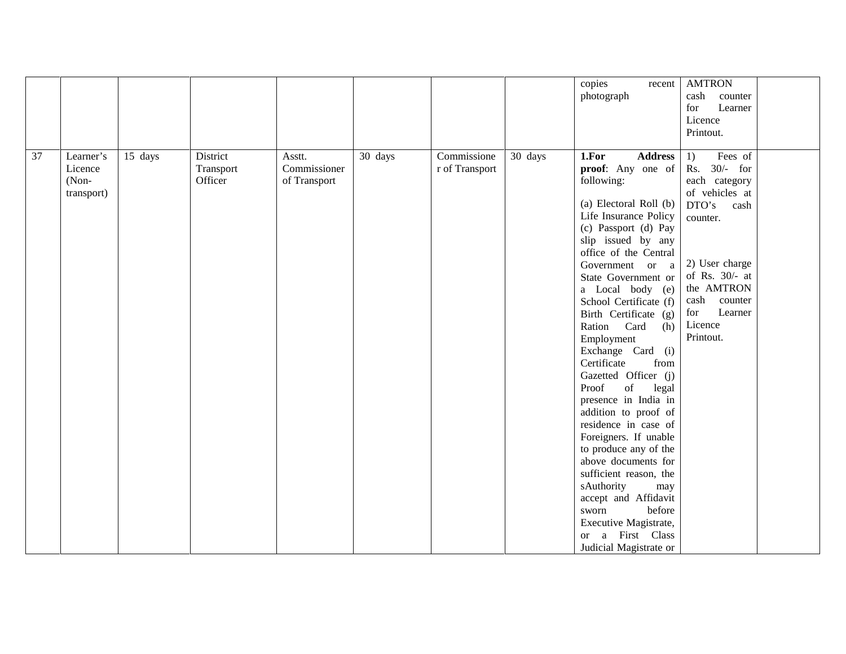|    |                                                          |                                  |                                        |         |                               |         | copies<br>recent<br>photograph                                                                                                                                                                                                                                                                                                                                                                                                                                                                                                                                                                                                                                                                                                                                                                                                                                | <b>AMTRON</b><br>cash<br>counter<br>for<br>Learner<br>Licence<br>Printout.                                                                                                                                   |
|----|----------------------------------------------------------|----------------------------------|----------------------------------------|---------|-------------------------------|---------|---------------------------------------------------------------------------------------------------------------------------------------------------------------------------------------------------------------------------------------------------------------------------------------------------------------------------------------------------------------------------------------------------------------------------------------------------------------------------------------------------------------------------------------------------------------------------------------------------------------------------------------------------------------------------------------------------------------------------------------------------------------------------------------------------------------------------------------------------------------|--------------------------------------------------------------------------------------------------------------------------------------------------------------------------------------------------------------|
| 37 | Learner's<br>15 days<br>Licence<br>$(Non-$<br>transport) | District<br>Transport<br>Officer | Asstt.<br>Commissioner<br>of Transport | 30 days | Commissione<br>r of Transport | 30 days | 1.For<br><b>Address</b><br>proof: Any one of<br>following:<br>(a) Electoral Roll (b)<br>Life Insurance Policy<br>(c) Passport (d) Pay<br>slip issued by any<br>office of the Central<br>Government or a<br>State Government or<br>a Local body (e)<br>School Certificate (f)<br>Birth Certificate (g)<br>Ration<br>Card<br>(h)<br>Employment<br>Exchange Card (i)<br>Certificate<br>from<br>Gazetted Officer (j)<br>Proof<br>$% \left( \left( \mathcal{A},\mathcal{A}\right) \right) =\left( \mathcal{A},\mathcal{A}\right)$ of<br>legal<br>presence in India in<br>addition to proof of<br>residence in case of<br>Foreigners. If unable<br>to produce any of the<br>above documents for<br>sufficient reason, the<br>sAuthority<br>may<br>accept and Affidavit<br>before<br>sworn<br>Executive Magistrate,<br>a First Class<br>or<br>Judicial Magistrate or | Fees of<br>1)<br>Rs. 30/- for<br>each category<br>of vehicles at<br>DTO's<br>cash<br>counter.<br>2) User charge<br>of Rs. 30/- at<br>the AMTRON<br>cash<br>counter<br>for<br>Learner<br>Licence<br>Printout. |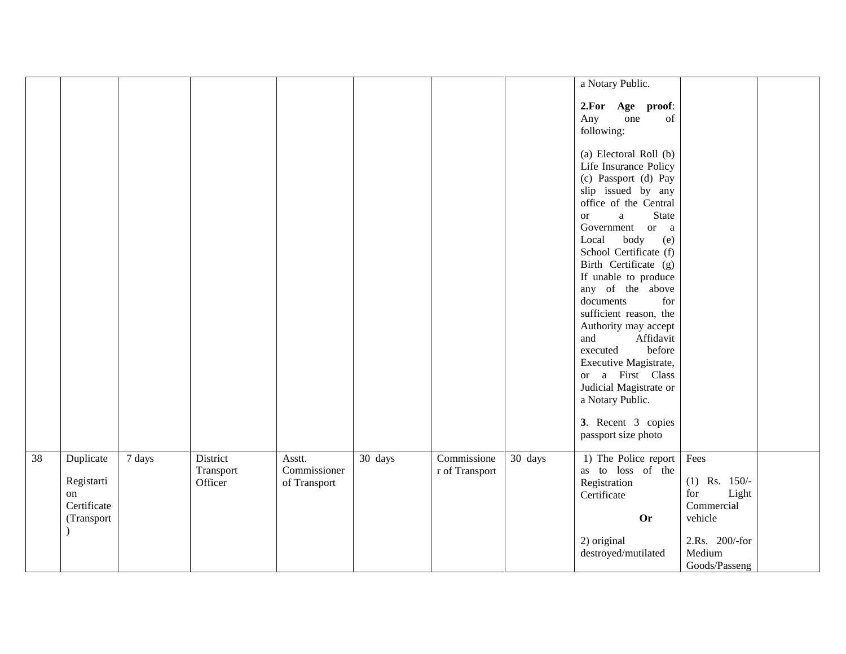|    |                                                            |        |                                  |                                        |                      |                               |         | a Notary Public.                                                                                                                                                                                                                                                                                                                                                                                                                                                                                                                                       |                                                                                                               |
|----|------------------------------------------------------------|--------|----------------------------------|----------------------------------------|----------------------|-------------------------------|---------|--------------------------------------------------------------------------------------------------------------------------------------------------------------------------------------------------------------------------------------------------------------------------------------------------------------------------------------------------------------------------------------------------------------------------------------------------------------------------------------------------------------------------------------------------------|---------------------------------------------------------------------------------------------------------------|
|    |                                                            |        |                                  |                                        |                      |                               |         | 2.For Age proof:<br>Any<br>of<br>one<br>following:                                                                                                                                                                                                                                                                                                                                                                                                                                                                                                     |                                                                                                               |
|    |                                                            |        |                                  |                                        |                      |                               |         | (a) Electoral Roll (b)<br>Life Insurance Policy<br>(c) Passport (d) Pay<br>slip issued by any<br>office of the Central<br><b>State</b><br>a<br>or<br>Government<br>or a<br>Local<br>body<br>(e)<br>School Certificate (f)<br>Birth Certificate (g)<br>If unable to produce<br>any of the above<br>documents<br>for<br>sufficient reason, the<br>Authority may accept<br>and<br>Affidavit<br>before<br>executed<br>Executive Magistrate,<br>or a First Class<br>Judicial Magistrate or<br>a Notary Public.<br>3. Recent 3 copies<br>passport size photo |                                                                                                               |
| 38 | Duplicate<br>Registarti<br>on<br>Certificate<br>(Transport | 7 days | District<br>Transport<br>Officer | Asstt.<br>Commissioner<br>of Transport | $\overline{30}$ days | Commissione<br>r of Transport | 30 days | 1) The Police report<br>as to loss of the<br>Registration<br>Certificate<br><b>Or</b><br>2) original<br>$\rm destroyed/mutilated$                                                                                                                                                                                                                                                                                                                                                                                                                      | Fees<br>$(1)$ Rs. 150/-<br>Light<br>for<br>Commercial<br>vehicle<br>2.Rs. 200/-for<br>Medium<br>Goods/Passeng |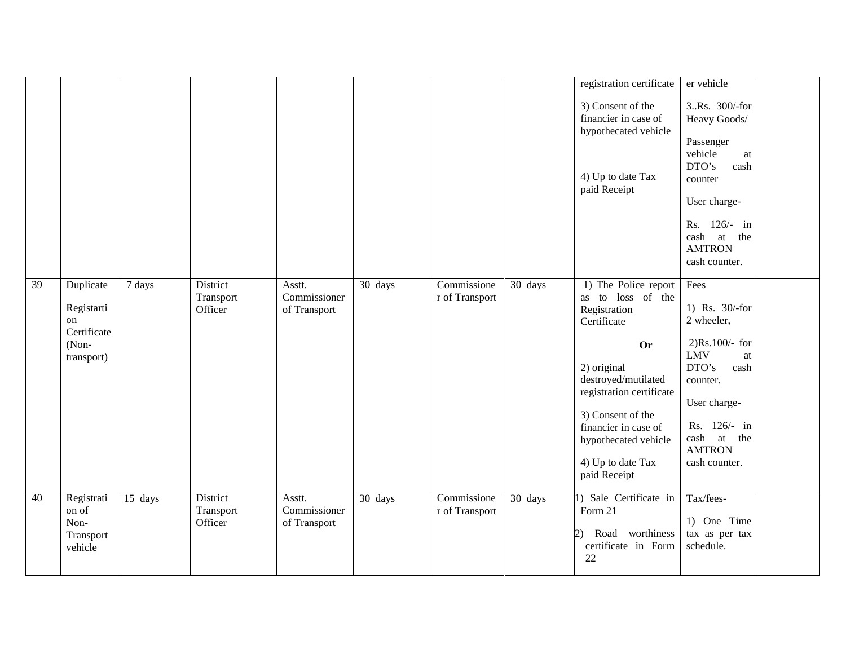|    |                                                                     |                     |                                  |                                        |         |                               |         | registration certificate<br>3) Consent of the<br>financier in case of<br>hypothecated vehicle<br>4) Up to date Tax<br>paid Receipt                                                                                                                                | er vehicle<br>3Rs. 300/-for<br>Heavy Goods/<br>Passenger<br>vehicle<br>at<br>DTO's<br>cash<br>counter<br>User charge-<br>Rs. 126/- in<br>cash at the<br><b>AMTRON</b><br>cash counter.                      |  |
|----|---------------------------------------------------------------------|---------------------|----------------------------------|----------------------------------------|---------|-------------------------------|---------|-------------------------------------------------------------------------------------------------------------------------------------------------------------------------------------------------------------------------------------------------------------------|-------------------------------------------------------------------------------------------------------------------------------------------------------------------------------------------------------------|--|
| 39 | Duplicate<br>Registarti<br>on<br>Certificate<br>(Non-<br>transport) | $\overline{7}$ days | District<br>Transport<br>Officer | Asstt.<br>Commissioner<br>of Transport | 30 days | Commissione<br>r of Transport | 30 days | 1) The Police report<br>as to loss of the<br>Registration<br>Certificate<br><b>Or</b><br>2) original<br>destroyed/mutilated<br>registration certificate<br>3) Consent of the<br>financier in case of<br>hypothecated vehicle<br>4) Up to date Tax<br>paid Receipt | Fees<br>1) Rs. 30/-for<br>2 wheeler,<br>$2)Rs.100/-$ for<br><b>LMV</b><br>$\operatorname{at}$<br>DTO's<br>cash<br>counter.<br>User charge-<br>Rs. 126/- in<br>cash at the<br><b>AMTRON</b><br>cash counter. |  |
| 40 | Registrati<br>on of<br>Non-<br>Transport<br>vehicle                 | 15 days             | District<br>Transport<br>Officer | Asstt.<br>Commissioner<br>of Transport | 30 days | Commissione<br>r of Transport | 30 days | 1) Sale Certificate in<br>Form 21<br>Road worthiness<br>(2)<br>certificate in Form<br>22                                                                                                                                                                          | Tax/fees-<br>1) One Time<br>tax as per tax<br>schedule.                                                                                                                                                     |  |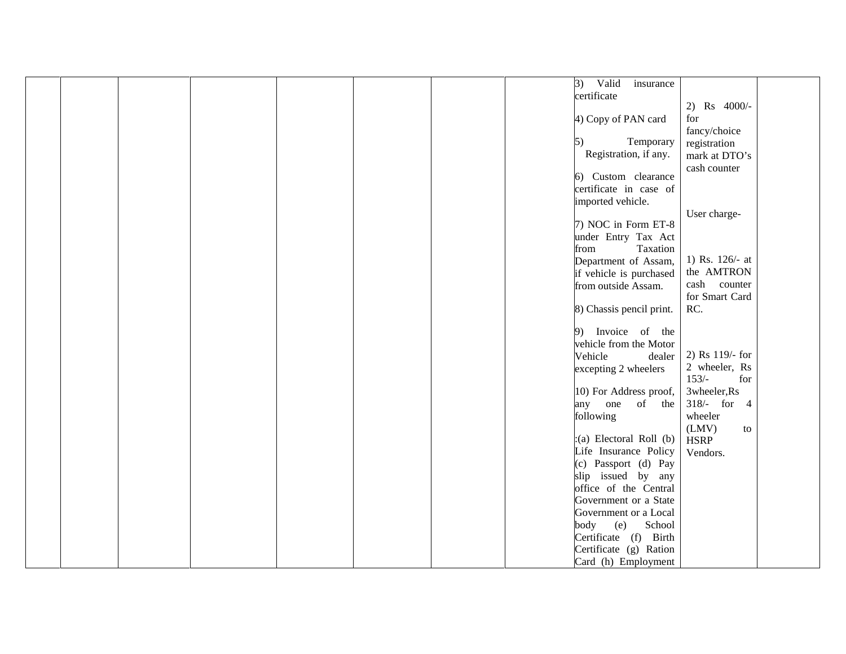|  |  |  | 3)<br>Valid<br>insurance    |                 |  |
|--|--|--|-----------------------------|-----------------|--|
|  |  |  | certificate                 |                 |  |
|  |  |  |                             | 2) Rs 4000/-    |  |
|  |  |  | 4) Copy of PAN card         | for             |  |
|  |  |  |                             | fancy/choice    |  |
|  |  |  | Temporary<br>5)             | registration    |  |
|  |  |  | Registration, if any.       | mark at DTO's   |  |
|  |  |  |                             | cash counter    |  |
|  |  |  | 6) Custom clearance         |                 |  |
|  |  |  | certificate in case of      |                 |  |
|  |  |  | imported vehicle.           |                 |  |
|  |  |  |                             | User charge-    |  |
|  |  |  | 7) NOC in Form ET-8         |                 |  |
|  |  |  | under Entry Tax Act         |                 |  |
|  |  |  | Taxation<br>from            |                 |  |
|  |  |  | Department of Assam,        | 1) Rs. 126/- at |  |
|  |  |  |                             | the AMTRON      |  |
|  |  |  | if vehicle is purchased     | cash counter    |  |
|  |  |  | from outside Assam.         | for Smart Card  |  |
|  |  |  |                             |                 |  |
|  |  |  | 8) Chassis pencil print.    | RC.             |  |
|  |  |  | 9) Invoice of the           |                 |  |
|  |  |  |                             |                 |  |
|  |  |  | vehicle from the Motor      | 2) Rs 119/- for |  |
|  |  |  | Vehicle<br>dealer           | 2 wheeler, Rs   |  |
|  |  |  | excepting 2 wheelers        | $153/-$<br>for  |  |
|  |  |  |                             |                 |  |
|  |  |  | 10) For Address proof,      | 3wheeler, Rs    |  |
|  |  |  | any one of the              | 318/- for 4     |  |
|  |  |  | following                   | wheeler         |  |
|  |  |  |                             | (LMV)<br>to     |  |
|  |  |  | $:(a)$ Electoral Roll $(b)$ | <b>HSRP</b>     |  |
|  |  |  | Life Insurance Policy       | Vendors.        |  |
|  |  |  | (c) Passport (d) Pay        |                 |  |
|  |  |  | slip issued by any          |                 |  |
|  |  |  | office of the Central       |                 |  |
|  |  |  | Government or a State       |                 |  |
|  |  |  | Government or a Local       |                 |  |
|  |  |  | (e)<br>School<br>body       |                 |  |
|  |  |  | Certificate (f) Birth       |                 |  |
|  |  |  | Certificate (g) Ration      |                 |  |
|  |  |  | Card (h) Employment         |                 |  |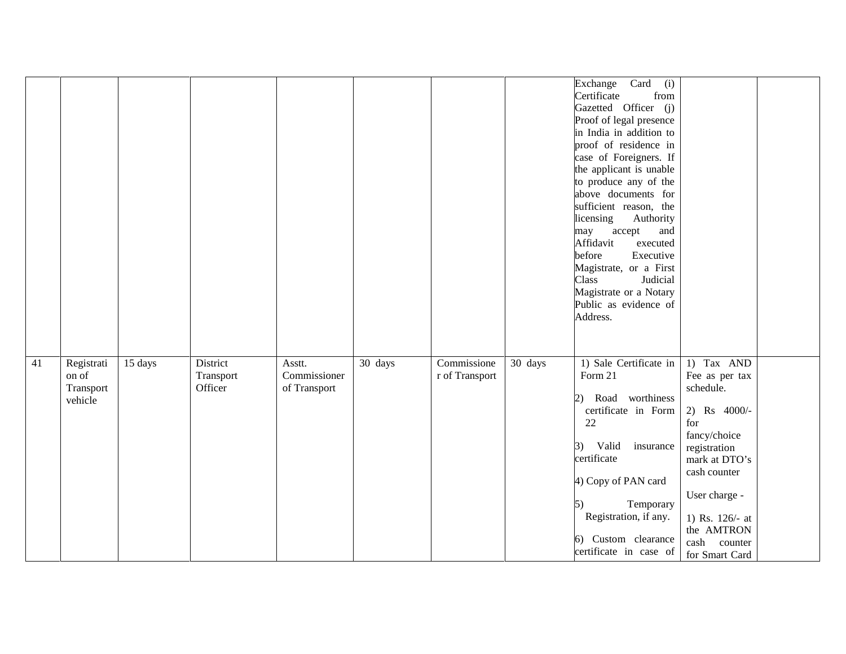|    |                                             |         |                                  |                                        |         |                               |         | Card (i)<br>Exchange<br>Certificate<br>from<br>Gazetted Officer (j)<br>Proof of legal presence<br>in India in addition to<br>proof of residence in<br>case of Foreigners. If<br>the applicant is unable<br>to produce any of the<br>above documents for<br>sufficient reason, the<br>licensing<br>Authority<br>accept<br>may<br>and<br>Affidavit<br>executed<br>before<br>Executive<br>Magistrate, or a First<br>Judicial<br>Class<br>Magistrate or a Notary<br>Public as evidence of<br>Address. |                                                                                                                                                                                                                       |  |
|----|---------------------------------------------|---------|----------------------------------|----------------------------------------|---------|-------------------------------|---------|---------------------------------------------------------------------------------------------------------------------------------------------------------------------------------------------------------------------------------------------------------------------------------------------------------------------------------------------------------------------------------------------------------------------------------------------------------------------------------------------------|-----------------------------------------------------------------------------------------------------------------------------------------------------------------------------------------------------------------------|--|
| 41 | Registrati<br>on of<br>Transport<br>vehicle | 15 days | District<br>Transport<br>Officer | Asstt.<br>Commissioner<br>of Transport | 30 days | Commissione<br>r of Transport | 30 days | 1) Sale Certificate in<br>Form 21<br>Road worthiness<br>2)<br>certificate in Form<br>22<br>Valid<br>insurance<br>$\left(3\right)$<br>certificate<br>4) Copy of PAN card<br>Temporary<br>5)<br>Registration, if any.<br>6) Custom clearance<br>certificate in case of                                                                                                                                                                                                                              | 1) Tax AND<br>Fee as per tax<br>schedule.<br>2) Rs 4000/-<br>for<br>fancy/choice<br>registration<br>mark at DTO's<br>cash counter<br>User charge -<br>1) Rs. 126/- at<br>the AMTRON<br>cash counter<br>for Smart Card |  |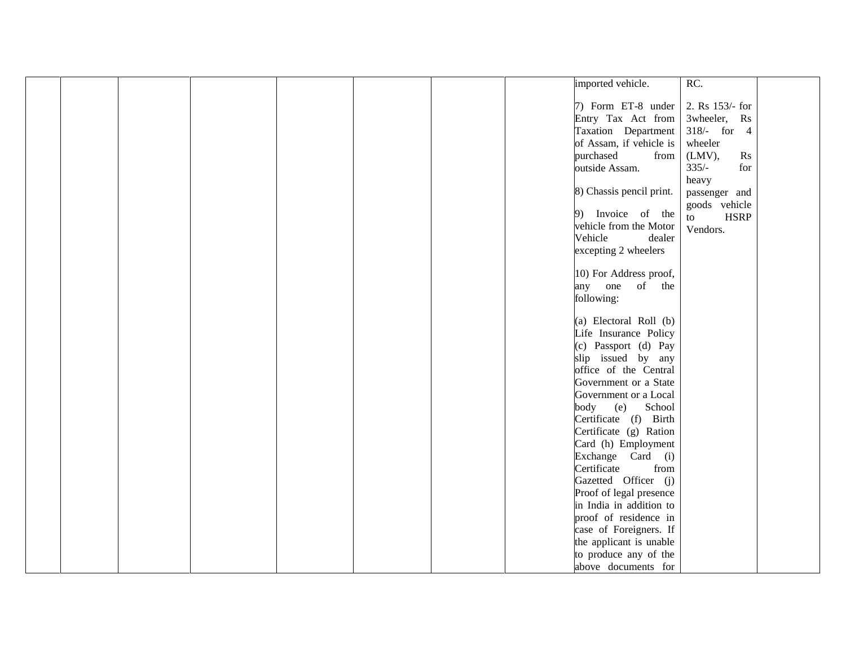|  |  |  | imported vehicle.        | RC.                                 |  |
|--|--|--|--------------------------|-------------------------------------|--|
|  |  |  |                          |                                     |  |
|  |  |  | 7) Form ET-8 under       | 2. Rs 153/- for                     |  |
|  |  |  | Entry Tax Act from       | 3wheeler, Rs                        |  |
|  |  |  | Taxation Department      | $318/-$ for 4                       |  |
|  |  |  | of Assam, if vehicle is  | wheeler                             |  |
|  |  |  | purchased<br>from        | $(LMV)$ ,<br>$\mathbf{R}\mathbf{s}$ |  |
|  |  |  | outside Assam.           | $335/-$<br>for                      |  |
|  |  |  |                          | heavy                               |  |
|  |  |  | 8) Chassis pencil print. | passenger and                       |  |
|  |  |  | 9) Invoice of the        | goods vehicle                       |  |
|  |  |  | vehicle from the Motor   | <b>HSRP</b><br>to                   |  |
|  |  |  | Vehicle<br>dealer        | Vendors.                            |  |
|  |  |  | excepting 2 wheelers     |                                     |  |
|  |  |  |                          |                                     |  |
|  |  |  | 10) For Address proof,   |                                     |  |
|  |  |  | any one of the           |                                     |  |
|  |  |  | following:               |                                     |  |
|  |  |  |                          |                                     |  |
|  |  |  | (a) Electoral Roll (b)   |                                     |  |
|  |  |  | Life Insurance Policy    |                                     |  |
|  |  |  | (c) Passport (d) Pay     |                                     |  |
|  |  |  | slip issued by any       |                                     |  |
|  |  |  | office of the Central    |                                     |  |
|  |  |  | Government or a State    |                                     |  |
|  |  |  | Government or a Local    |                                     |  |
|  |  |  | School<br>body<br>(e)    |                                     |  |
|  |  |  | Certificate (f) Birth    |                                     |  |
|  |  |  | Certificate (g) Ration   |                                     |  |
|  |  |  | Card (h) Employment      |                                     |  |
|  |  |  | Exchange Card (i)        |                                     |  |
|  |  |  | Certificate<br>from      |                                     |  |
|  |  |  | Gazetted Officer (j)     |                                     |  |
|  |  |  | Proof of legal presence  |                                     |  |
|  |  |  | in India in addition to  |                                     |  |
|  |  |  | proof of residence in    |                                     |  |
|  |  |  | case of Foreigners. If   |                                     |  |
|  |  |  | the applicant is unable  |                                     |  |
|  |  |  | to produce any of the    |                                     |  |
|  |  |  | above documents for      |                                     |  |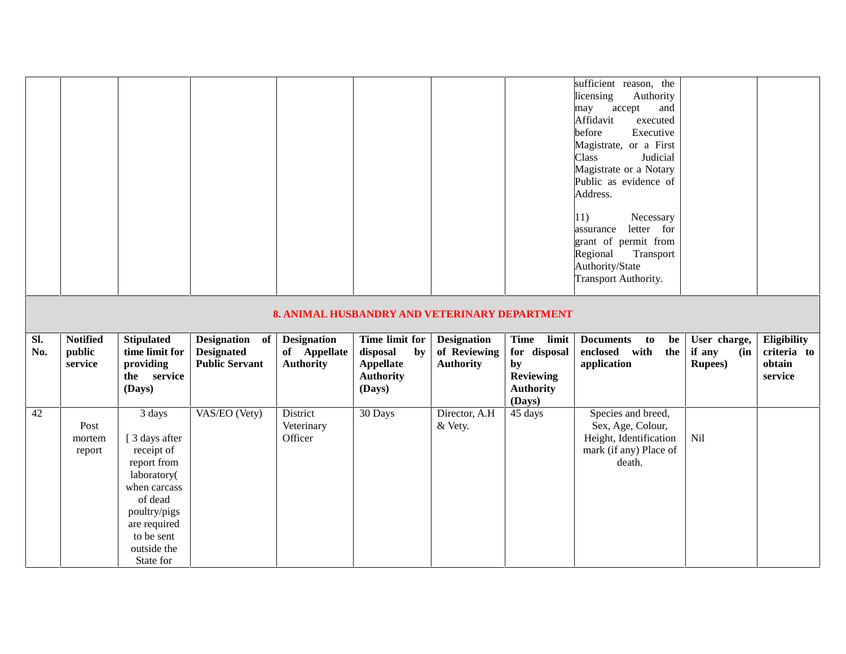|            |                                      |                                                                           |                                                              |                                                        |                                                                                    |                                                        |                                                                                    | sufficient reason, the<br>licensing<br>Authority<br>accept<br>and<br>may<br>Affidavit<br>executed<br>before<br>Executive<br>Magistrate, or a First<br>Class<br>Judicial<br>Magistrate or a Notary<br>Public as evidence of<br>Address.<br>$ 11\rangle$<br>Necessary<br>letter for<br>assurance<br>grant of permit from<br>Regional<br>Transport<br>Authority/State<br>Transport Authority. |                                                  |                                                 |
|------------|--------------------------------------|---------------------------------------------------------------------------|--------------------------------------------------------------|--------------------------------------------------------|------------------------------------------------------------------------------------|--------------------------------------------------------|------------------------------------------------------------------------------------|--------------------------------------------------------------------------------------------------------------------------------------------------------------------------------------------------------------------------------------------------------------------------------------------------------------------------------------------------------------------------------------------|--------------------------------------------------|-------------------------------------------------|
|            |                                      |                                                                           |                                                              | 8. ANIMAL HUSBANDRY AND VETERINARY DEPARTMENT          |                                                                                    |                                                        |                                                                                    |                                                                                                                                                                                                                                                                                                                                                                                            |                                                  |                                                 |
|            |                                      |                                                                           |                                                              |                                                        |                                                                                    |                                                        |                                                                                    |                                                                                                                                                                                                                                                                                                                                                                                            |                                                  |                                                 |
| Sl.<br>No. | <b>Notified</b><br>public<br>service | <b>Stipulated</b><br>time limit for<br>providing<br>the service<br>(Days) | Designation of<br><b>Designated</b><br><b>Public Servant</b> | <b>Designation</b><br>of Appellate<br><b>Authority</b> | Time limit for<br>disposal<br>by<br><b>Appellate</b><br><b>Authority</b><br>(Days) | <b>Designation</b><br>of Reviewing<br><b>Authority</b> | Time limit<br>for disposal<br>by<br><b>Reviewing</b><br><b>Authority</b><br>(Days) | <b>Documents</b><br>be<br>to<br>enclosed with<br>the<br>application                                                                                                                                                                                                                                                                                                                        | User charge,<br>if any<br>(in<br><b>Rupees</b> ) | Eligibility<br>criteria to<br>obtain<br>service |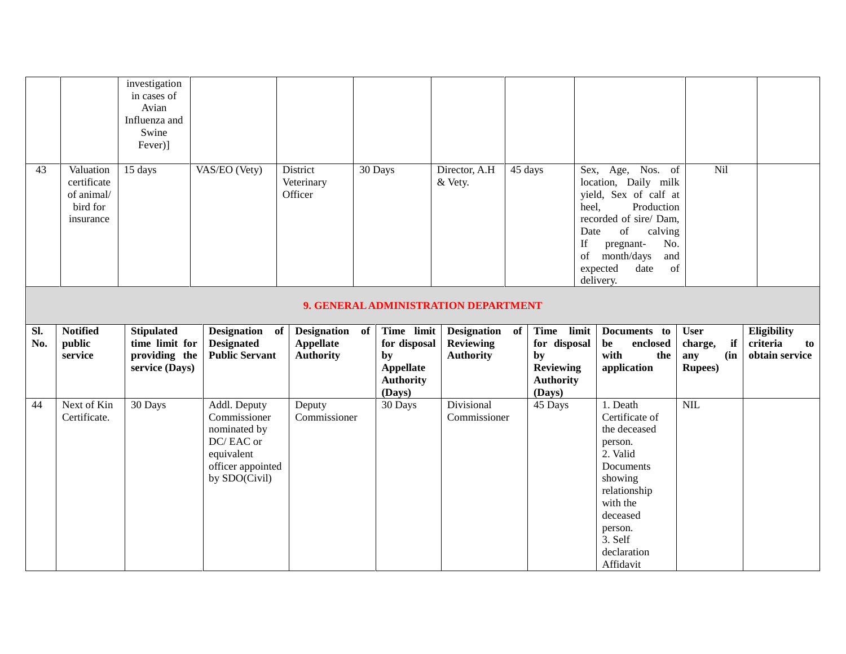|            |                                                                 | investigation<br>in cases of<br>Avian<br>Influenza and<br>Swine<br>Fever)] |                                                              |                                                                           |                                                                                    |                                                            |                                                                                          |                                                                                                                                                                                                                                          |                                                               |                                                 |
|------------|-----------------------------------------------------------------|----------------------------------------------------------------------------|--------------------------------------------------------------|---------------------------------------------------------------------------|------------------------------------------------------------------------------------|------------------------------------------------------------|------------------------------------------------------------------------------------------|------------------------------------------------------------------------------------------------------------------------------------------------------------------------------------------------------------------------------------------|---------------------------------------------------------------|-------------------------------------------------|
| 43         | Valuation<br>certificate<br>of animal/<br>bird for<br>insurance | 15 days                                                                    | VAS/EO (Vety)                                                | District<br>Veterinary<br>Officer<br>9. GENERAL ADMINISTRATION DEPARTMENT | 30 Days                                                                            | Director, A.H<br>& Vety.                                   | 45 days                                                                                  | Sex, Age, Nos. of<br>location, Daily milk<br>yield, Sex of calf at<br>Production<br>heel,<br>recorded of sire/ Dam,<br>of<br>Date<br>calving<br>If<br>pregnant-<br>No.<br>month/days<br>and<br>of<br>of<br>expected<br>date<br>delivery. | Nil                                                           |                                                 |
|            |                                                                 |                                                                            |                                                              |                                                                           |                                                                                    |                                                            |                                                                                          |                                                                                                                                                                                                                                          |                                                               |                                                 |
| Sl.<br>No. | <b>Notified</b><br>public<br>service                            | <b>Stipulated</b><br>time limit for<br>providing the<br>service (Days)     | Designation of<br><b>Designated</b><br><b>Public Servant</b> | Designation of<br><b>Appellate</b><br><b>Authority</b>                    | Time limit<br>for disposal<br>by<br><b>Appellate</b><br><b>Authority</b><br>(Days) | <b>Designation</b><br><b>Reviewing</b><br><b>Authority</b> | Time limit<br>of<br>for disposal<br>by<br><b>Reviewing</b><br><b>Authority</b><br>(Days) | Documents to<br>enclosed<br>be<br>with<br>the<br>application                                                                                                                                                                             | <b>User</b><br>charge,<br>if<br>(in<br>any<br><b>Rupees</b> ) | Eligibility<br>criteria<br>to<br>obtain service |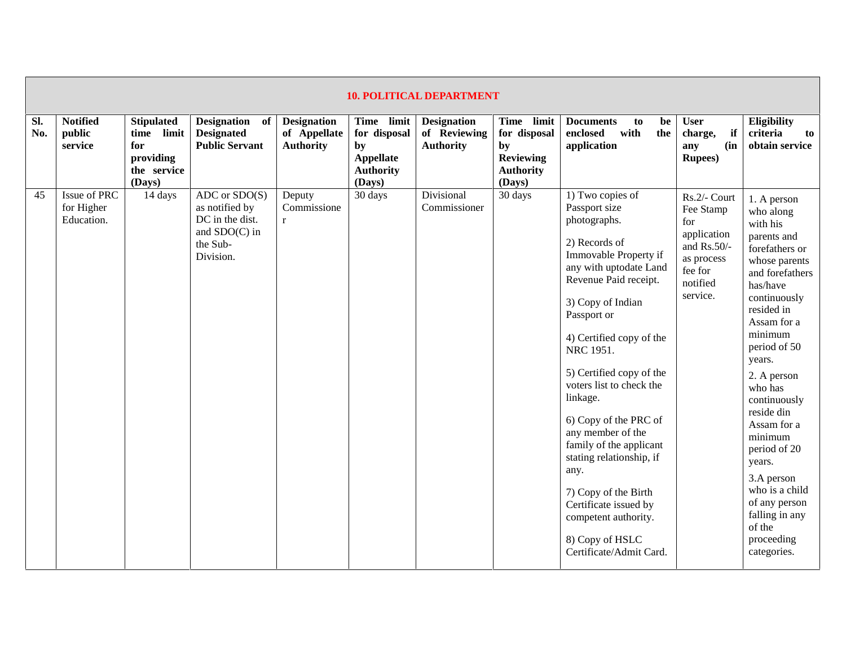|            | <b>10. POLITICAL DEPARTMENT</b>          |                                                                                 |                                                                                                    |                                                        |                                                                             |                                                        |                                                                             |                                                                                                                                                                                                                                                                                                                                                                                                                                                                                                                                     |                                                                                                                 |                                                                                                                                                                                                                                                                                                                                                                                                                               |  |
|------------|------------------------------------------|---------------------------------------------------------------------------------|----------------------------------------------------------------------------------------------------|--------------------------------------------------------|-----------------------------------------------------------------------------|--------------------------------------------------------|-----------------------------------------------------------------------------|-------------------------------------------------------------------------------------------------------------------------------------------------------------------------------------------------------------------------------------------------------------------------------------------------------------------------------------------------------------------------------------------------------------------------------------------------------------------------------------------------------------------------------------|-----------------------------------------------------------------------------------------------------------------|-------------------------------------------------------------------------------------------------------------------------------------------------------------------------------------------------------------------------------------------------------------------------------------------------------------------------------------------------------------------------------------------------------------------------------|--|
| SI.<br>No. | <b>Notified</b><br>public<br>service     | <b>Stipulated</b><br>limit<br>time<br>for<br>providing<br>the service<br>(Days) | Designation of<br><b>Designated</b><br><b>Public Servant</b>                                       | <b>Designation</b><br>of Appellate<br><b>Authority</b> | Time limit<br>for disposal<br>by<br>Appellate<br><b>Authority</b><br>(Days) | <b>Designation</b><br>of Reviewing<br><b>Authority</b> | Time limit<br>for disposal<br>by<br>Reviewing<br><b>Authority</b><br>(Days) | <b>Documents</b><br>be<br>to<br>enclosed<br>with<br>the<br>application                                                                                                                                                                                                                                                                                                                                                                                                                                                              | <b>User</b><br>if<br>charge,<br>(in<br>any<br><b>Rupees</b> )                                                   | Eligibility<br>criteria<br>to<br>obtain service                                                                                                                                                                                                                                                                                                                                                                               |  |
| 45         | Issue of PRC<br>for Higher<br>Education. | 14 days                                                                         | $ADC$ or $SDO(S)$<br>as notified by<br>DC in the dist.<br>and $SDO(C)$ in<br>the Sub-<br>Division. | Deputy<br>Commissione<br>$\mathbf{r}$                  | 30 days                                                                     | Divisional<br>Commissioner                             | 30 days                                                                     | 1) Two copies of<br>Passport size<br>photographs.<br>2) Records of<br>Immovable Property if<br>any with uptodate Land<br>Revenue Paid receipt.<br>3) Copy of Indian<br>Passport or<br>4) Certified copy of the<br>NRC 1951.<br>5) Certified copy of the<br>voters list to check the<br>linkage.<br>6) Copy of the PRC of<br>any member of the<br>family of the applicant<br>stating relationship, if<br>any.<br>7) Copy of the Birth<br>Certificate issued by<br>competent authority.<br>8) Copy of HSLC<br>Certificate/Admit Card. | Rs.2/- Court<br>Fee Stamp<br>for<br>application<br>and Rs.50/-<br>as process<br>fee for<br>notified<br>service. | 1. A person<br>who along<br>with his<br>parents and<br>forefathers or<br>whose parents<br>and forefathers<br>has/have<br>continuously<br>resided in<br>Assam for a<br>minimum<br>period of 50<br>years.<br>2. A person<br>who has<br>continuously<br>reside din<br>Assam for a<br>minimum<br>period of 20<br>years.<br>3.A person<br>who is a child<br>of any person<br>falling in any<br>of the<br>proceeding<br>categories. |  |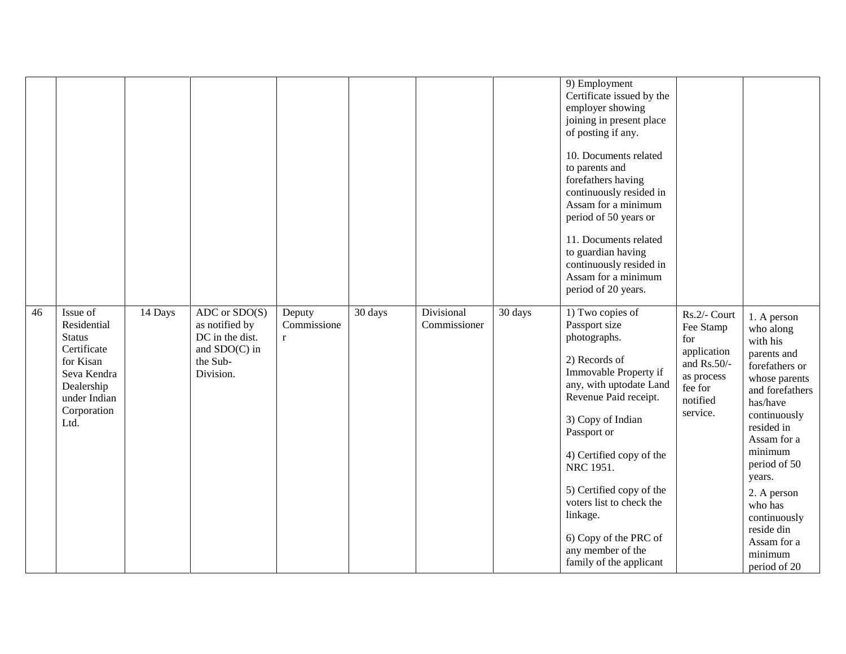|    |                                                                                                                                                     |                                                                                                  |                                    |         |                            |         | 9) Employment<br>Certificate issued by the<br>employer showing<br>joining in present place<br>of posting if any.<br>10. Documents related<br>to parents and<br>forefathers having<br>continuously resided in<br>Assam for a minimum<br>period of 50 years or<br>11. Documents related<br>to guardian having<br>continuously resided in<br>Assam for a minimum<br>period of 20 years. |                                                                                                                 |                                                                                                                                                                                                                                                                                                           |
|----|-----------------------------------------------------------------------------------------------------------------------------------------------------|--------------------------------------------------------------------------------------------------|------------------------------------|---------|----------------------------|---------|--------------------------------------------------------------------------------------------------------------------------------------------------------------------------------------------------------------------------------------------------------------------------------------------------------------------------------------------------------------------------------------|-----------------------------------------------------------------------------------------------------------------|-----------------------------------------------------------------------------------------------------------------------------------------------------------------------------------------------------------------------------------------------------------------------------------------------------------|
| 46 | Issue of<br>14 Days<br>Residential<br><b>Status</b><br>Certificate<br>for Kisan<br>Seva Kendra<br>Dealership<br>under Indian<br>Corporation<br>Ltd. | $ADC$ or $SDO(S)$<br>as notified by<br>DC in the dist.<br>and SDO(C) in<br>the Sub-<br>Division. | Deputy<br>Commissione<br>$r_{\rm}$ | 30 days | Divisional<br>Commissioner | 30 days | 1) Two copies of<br>Passport size<br>photographs.<br>2) Records of<br>Immovable Property if<br>any, with uptodate Land<br>Revenue Paid receipt.<br>3) Copy of Indian<br>Passport or<br>4) Certified copy of the<br>NRC 1951.<br>5) Certified copy of the<br>voters list to check the<br>linkage.<br>6) Copy of the PRC of<br>any member of the<br>family of the applicant            | Rs.2/- Court<br>Fee Stamp<br>for<br>application<br>and Rs.50/-<br>as process<br>fee for<br>notified<br>service. | 1. A person<br>who along<br>with his<br>parents and<br>forefathers or<br>whose parents<br>and forefathers<br>has/have<br>continuously<br>resided in<br>Assam for a<br>minimum<br>period of 50<br>years.<br>2. A person<br>who has<br>continuously<br>reside din<br>Assam for a<br>minimum<br>period of 20 |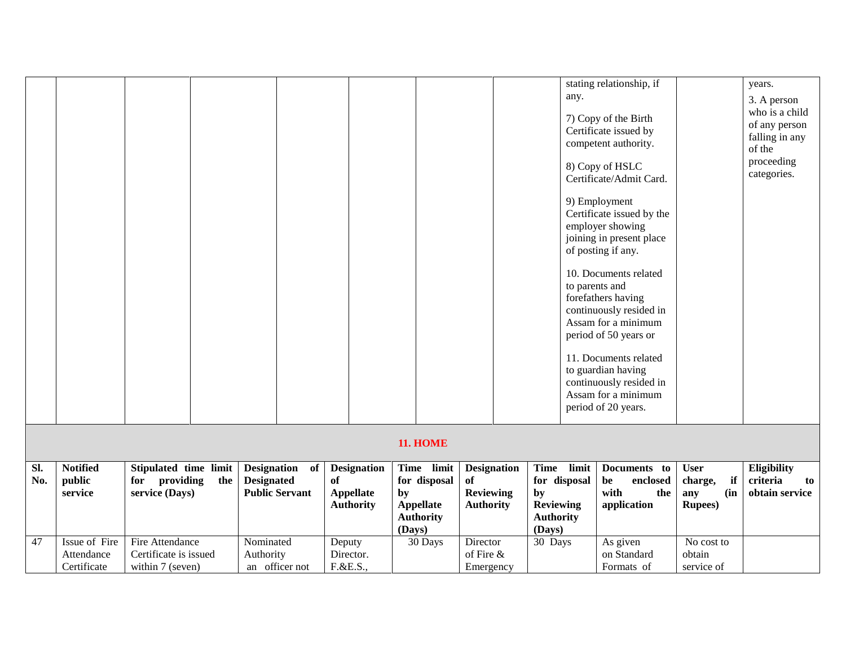|     |                   |                                        |                                            |                                            |                                                                      |                                                   |                                                                      | stating relationship, if                                                                                                                      |                                                | years.                                                                                                  |
|-----|-------------------|----------------------------------------|--------------------------------------------|--------------------------------------------|----------------------------------------------------------------------|---------------------------------------------------|----------------------------------------------------------------------|-----------------------------------------------------------------------------------------------------------------------------------------------|------------------------------------------------|---------------------------------------------------------------------------------------------------------|
|     |                   |                                        |                                            |                                            |                                                                      |                                                   | any.                                                                 | 7) Copy of the Birth<br>Certificate issued by<br>competent authority.<br>8) Copy of HSLC<br>Certificate/Admit Card.<br>9) Employment          |                                                | 3. A person<br>who is a child<br>of any person<br>falling in any<br>of the<br>proceeding<br>categories. |
|     |                   |                                        |                                            |                                            |                                                                      |                                                   |                                                                      | Certificate issued by the<br>employer showing<br>joining in present place<br>of posting if any.                                               |                                                |                                                                                                         |
|     |                   |                                        |                                            |                                            |                                                                      |                                                   |                                                                      | 10. Documents related<br>to parents and<br>forefathers having<br>continuously resided in<br>Assam for a minimum                               |                                                |                                                                                                         |
|     |                   |                                        |                                            |                                            |                                                                      |                                                   |                                                                      | period of 50 years or<br>11. Documents related<br>to guardian having<br>continuously resided in<br>Assam for a minimum<br>period of 20 years. |                                                |                                                                                                         |
|     |                   |                                        |                                            |                                            | <b>11. HOME</b>                                                      |                                                   |                                                                      |                                                                                                                                               |                                                |                                                                                                         |
| SI. | <b>Notified</b>   | Stipulated time limit                  | <b>Designation</b><br>of                   | <b>Designation</b>                         | Time limit                                                           | <b>Designation</b>                                | Time limit                                                           | Documents to                                                                                                                                  | <b>User</b>                                    | Eligibility                                                                                             |
| No. | public<br>service | for providing<br>the<br>service (Days) | <b>Designated</b><br><b>Public Servant</b> | of<br><b>Appellate</b><br><b>Authority</b> | for disposal<br>by<br><b>Appellate</b><br><b>Authority</b><br>(Days) | <b>of</b><br><b>Reviewing</b><br><b>Authority</b> | for disposal<br>by<br><b>Reviewing</b><br><b>Authority</b><br>(Days) | be<br>enclosed<br>with<br>the<br>application                                                                                                  | if<br>charge,<br>(in<br>any<br><b>Rupees</b> ) | criteria<br>to<br>obtain service                                                                        |
| 47  | Issue of Fire     | Fire Attendance                        | Nominated                                  | Deputy                                     | 30 Days                                                              | Director                                          | 30 Days                                                              | As given                                                                                                                                      | No cost to                                     |                                                                                                         |
|     | Attendance        | Certificate is issued                  | Authority                                  | Director.                                  |                                                                      | of Fire &                                         |                                                                      | on Standard                                                                                                                                   | obtain                                         |                                                                                                         |
|     | Certificate       | within 7 (seven)                       | an officer not                             | F.&E.S.,                                   |                                                                      | Emergency                                         |                                                                      | Formats of                                                                                                                                    | service of                                     |                                                                                                         |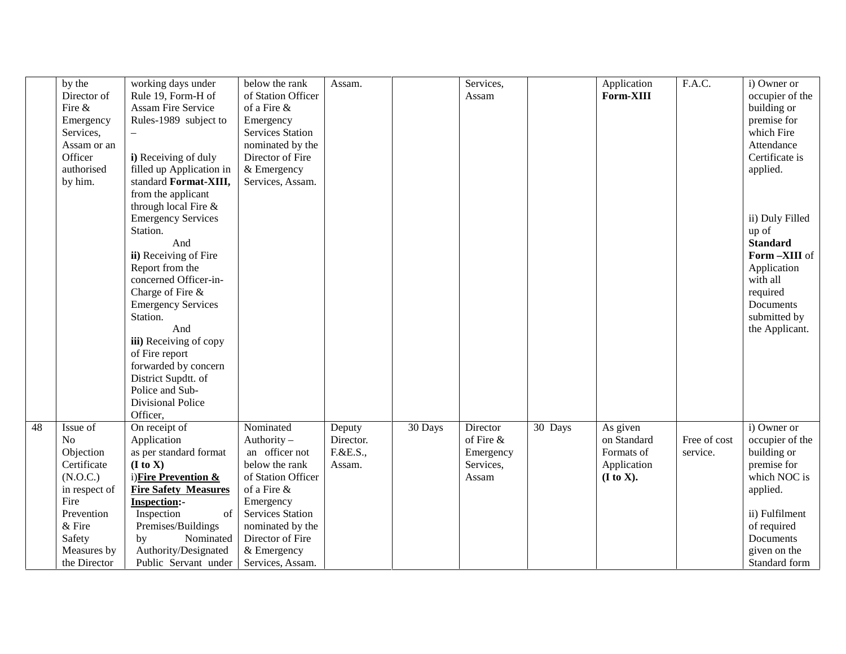|    | by the        | working days under              | below the rank          | Assam.    |         | Services, |         | Application | F.A.C.       | i) Owner or     |  |
|----|---------------|---------------------------------|-------------------------|-----------|---------|-----------|---------|-------------|--------------|-----------------|--|
|    | Director of   | Rule 19, Form-H of              | of Station Officer      |           |         | Assam     |         | Form-XIII   |              | occupier of the |  |
|    | Fire &        | <b>Assam Fire Service</b>       | of a Fire $\&$          |           |         |           |         |             |              | building or     |  |
|    | Emergency     | Rules-1989 subject to           | Emergency               |           |         |           |         |             |              | premise for     |  |
|    | Services,     |                                 | <b>Services Station</b> |           |         |           |         |             |              | which Fire      |  |
|    | Assam or an   |                                 | nominated by the        |           |         |           |         |             |              | Attendance      |  |
|    | Officer       | i) Receiving of duly            | Director of Fire        |           |         |           |         |             |              | Certificate is  |  |
|    | authorised    | filled up Application in        | & Emergency             |           |         |           |         |             |              | applied.        |  |
|    | by him.       | standard Format-XIII,           | Services, Assam.        |           |         |           |         |             |              |                 |  |
|    |               | from the applicant              |                         |           |         |           |         |             |              |                 |  |
|    |               | through local Fire &            |                         |           |         |           |         |             |              |                 |  |
|    |               | <b>Emergency Services</b>       |                         |           |         |           |         |             |              | ii) Duly Filled |  |
|    |               | Station.                        |                         |           |         |           |         |             |              | up of           |  |
|    |               | And                             |                         |           |         |           |         |             |              | <b>Standard</b> |  |
|    |               | ii) Receiving of Fire           |                         |           |         |           |         |             |              | Form-XIII of    |  |
|    |               | Report from the                 |                         |           |         |           |         |             |              | Application     |  |
|    |               | concerned Officer-in-           |                         |           |         |           |         |             |              | with all        |  |
|    |               | Charge of Fire &                |                         |           |         |           |         |             |              | required        |  |
|    |               | <b>Emergency Services</b>       |                         |           |         |           |         |             |              | Documents       |  |
|    |               | Station.                        |                         |           |         |           |         |             |              | submitted by    |  |
|    |               | And                             |                         |           |         |           |         |             |              | the Applicant.  |  |
|    |               | iii) Receiving of copy          |                         |           |         |           |         |             |              |                 |  |
|    |               | of Fire report                  |                         |           |         |           |         |             |              |                 |  |
|    |               | forwarded by concern            |                         |           |         |           |         |             |              |                 |  |
|    |               | District Supdtt. of             |                         |           |         |           |         |             |              |                 |  |
|    |               | Police and Sub-                 |                         |           |         |           |         |             |              |                 |  |
|    |               | <b>Divisional Police</b>        |                         |           |         |           |         |             |              |                 |  |
|    |               | Officer,                        |                         |           |         |           |         |             |              |                 |  |
| 48 | Issue of      | On receipt of                   | Nominated               | Deputy    | 30 Days | Director  | 30 Days | As given    |              | i) Owner or     |  |
|    | No            | Application                     | Authority -             | Director. |         | of Fire & |         | on Standard | Free of cost | occupier of the |  |
|    | Objection     | as per standard format          | an officer not          | F.&E.S.,  |         | Emergency |         | Formats of  | service.     | building or     |  |
|    | Certificate   | (I to X)                        | below the rank          | Assam.    |         | Services, |         | Application |              | premise for     |  |
|    | (N.O.C.)      | i) <b>Fire Prevention &amp;</b> | of Station Officer      |           |         | Assam     |         | (I to X).   |              | which NOC is    |  |
|    | in respect of | <b>Fire Safety Measures</b>     | of a Fire &             |           |         |           |         |             |              | applied.        |  |
|    | Fire          | <b>Inspection:-</b>             | Emergency               |           |         |           |         |             |              |                 |  |
|    | Prevention    | Inspection<br>of                | <b>Services Station</b> |           |         |           |         |             |              | ii) Fulfilment  |  |
|    | & Fire        | Premises/Buildings              | nominated by the        |           |         |           |         |             |              | of required     |  |
|    | Safety        | Nominated<br>by                 | Director of Fire        |           |         |           |         |             |              | Documents       |  |
|    | Measures by   | Authority/Designated            | & Emergency             |           |         |           |         |             |              | given on the    |  |
|    | the Director  | Public Servant under            | Services, Assam.        |           |         |           |         |             |              | Standard form   |  |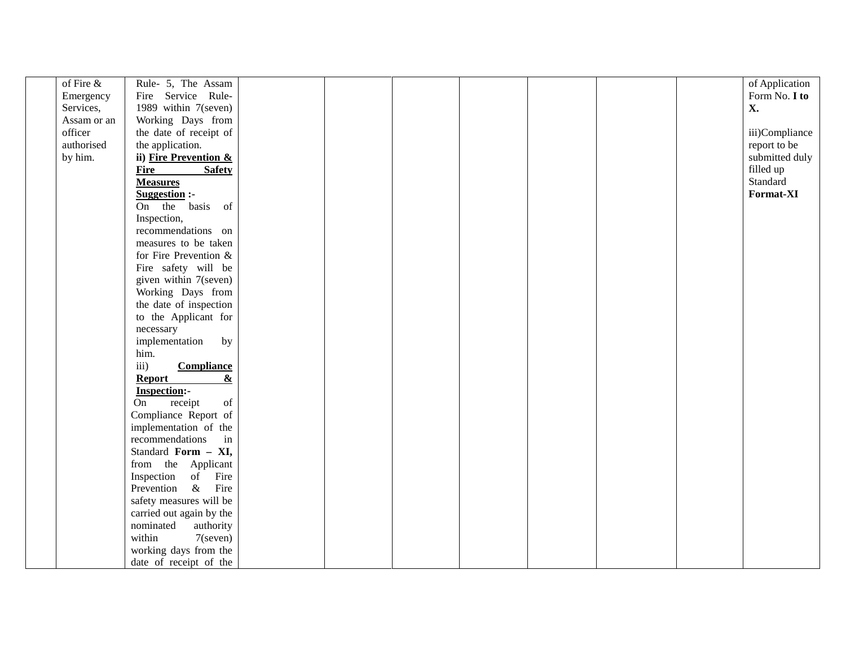| of Fire &   | Rule- 5, The Assam                                                                                                  |  |  | of Application |
|-------------|---------------------------------------------------------------------------------------------------------------------|--|--|----------------|
| Emergency   | Fire Service Rule-                                                                                                  |  |  | Form No. I to  |
| Services,   | 1989 within 7(seven)                                                                                                |  |  | X.             |
| Assam or an | Working Days from                                                                                                   |  |  |                |
| officer     | the date of receipt of                                                                                              |  |  | iii)Compliance |
| authorised  | the application.                                                                                                    |  |  | report to be   |
| by him.     | ii) Fire Prevention &                                                                                               |  |  | submitted duly |
|             | <b>Fire</b><br><b>Safety</b>                                                                                        |  |  | filled up      |
|             | <b>Measures</b>                                                                                                     |  |  | Standard       |
|             | <b>Suggestion:-</b>                                                                                                 |  |  | Format-XI      |
|             | On the basis of                                                                                                     |  |  |                |
|             | Inspection,                                                                                                         |  |  |                |
|             | recommendations on                                                                                                  |  |  |                |
|             | measures to be taken                                                                                                |  |  |                |
|             | for Fire Prevention &                                                                                               |  |  |                |
|             | Fire safety will be                                                                                                 |  |  |                |
|             |                                                                                                                     |  |  |                |
|             | given within 7(seven)                                                                                               |  |  |                |
|             | Working Days from                                                                                                   |  |  |                |
|             | the date of inspection                                                                                              |  |  |                |
|             | to the Applicant for                                                                                                |  |  |                |
|             | necessary                                                                                                           |  |  |                |
|             | implementation<br>by                                                                                                |  |  |                |
|             | him.                                                                                                                |  |  |                |
|             | iii)<br><b>Compliance</b>                                                                                           |  |  |                |
|             | $\underline{\&}$<br>Report                                                                                          |  |  |                |
|             | <b>Inspection:-</b>                                                                                                 |  |  |                |
|             | receipt<br>$% \left( \left( \mathcal{A},\mathcal{A}\right) \right) =\left( \mathcal{A},\mathcal{A}\right)$ of<br>On |  |  |                |
|             | Compliance Report of                                                                                                |  |  |                |
|             | implementation of the                                                                                               |  |  |                |
|             | recommendations<br>in                                                                                               |  |  |                |
|             | Standard Form - XI,                                                                                                 |  |  |                |
|             | from the Applicant                                                                                                  |  |  |                |
|             | Inspection<br>of Fire                                                                                               |  |  |                |
|             | $\&$<br>Fire<br>Prevention                                                                                          |  |  |                |
|             | safety measures will be                                                                                             |  |  |                |
|             | carried out again by the                                                                                            |  |  |                |
|             | nominated<br>authority                                                                                              |  |  |                |
|             | within<br>$7$ (seven)                                                                                               |  |  |                |
|             | working days from the                                                                                               |  |  |                |
|             | date of receipt of the                                                                                              |  |  |                |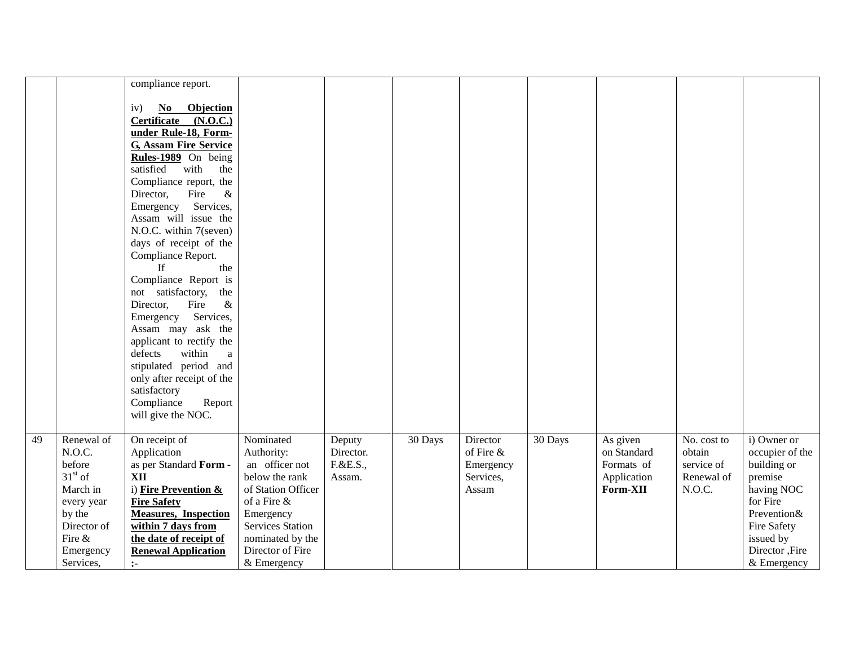|    |             | compliance report.                             |                         |           |         |           |         |             |             |                 |  |
|----|-------------|------------------------------------------------|-------------------------|-----------|---------|-----------|---------|-------------|-------------|-----------------|--|
|    |             |                                                |                         |           |         |           |         |             |             |                 |  |
|    |             | Objection<br>iv)<br>No<br>Certificate (N.O.C.) |                         |           |         |           |         |             |             |                 |  |
|    |             | under Rule-18, Form-                           |                         |           |         |           |         |             |             |                 |  |
|    |             | <b>G, Assam Fire Service</b>                   |                         |           |         |           |         |             |             |                 |  |
|    |             | Rules-1989 On being                            |                         |           |         |           |         |             |             |                 |  |
|    |             | satisfied<br>with<br>the                       |                         |           |         |           |         |             |             |                 |  |
|    |             | Compliance report, the                         |                         |           |         |           |         |             |             |                 |  |
|    |             | $\&$<br>Director,<br>Fire                      |                         |           |         |           |         |             |             |                 |  |
|    |             | Services,<br>Emergency                         |                         |           |         |           |         |             |             |                 |  |
|    |             | Assam will issue the                           |                         |           |         |           |         |             |             |                 |  |
|    |             | N.O.C. within 7(seven)                         |                         |           |         |           |         |             |             |                 |  |
|    |             | days of receipt of the                         |                         |           |         |           |         |             |             |                 |  |
|    |             | Compliance Report.                             |                         |           |         |           |         |             |             |                 |  |
|    |             | the<br>If                                      |                         |           |         |           |         |             |             |                 |  |
|    |             | Compliance Report is                           |                         |           |         |           |         |             |             |                 |  |
|    |             | not satisfactory, the                          |                         |           |         |           |         |             |             |                 |  |
|    |             | Fire<br>$\&$<br>Director,                      |                         |           |         |           |         |             |             |                 |  |
|    |             | Services,<br>Emergency                         |                         |           |         |           |         |             |             |                 |  |
|    |             | Assam may ask the                              |                         |           |         |           |         |             |             |                 |  |
|    |             | applicant to rectify the                       |                         |           |         |           |         |             |             |                 |  |
|    |             | defects<br>within<br>a                         |                         |           |         |           |         |             |             |                 |  |
|    |             | stipulated period and                          |                         |           |         |           |         |             |             |                 |  |
|    |             | only after receipt of the                      |                         |           |         |           |         |             |             |                 |  |
|    |             | satisfactory                                   |                         |           |         |           |         |             |             |                 |  |
|    |             | Compliance<br>Report                           |                         |           |         |           |         |             |             |                 |  |
|    |             | will give the NOC.                             |                         |           |         |           |         |             |             |                 |  |
| 49 | Renewal of  | On receipt of                                  | Nominated               | Deputy    | 30 Days | Director  | 30 Days | As given    | No. cost to | i) Owner or     |  |
|    | N.O.C.      | Application                                    | Authority:              | Director. |         | of Fire & |         | on Standard | obtain      | occupier of the |  |
|    | before      | as per Standard Form -                         | an officer not          | F.&E.S.,  |         | Emergency |         | Formats of  | service of  | building or     |  |
|    | $31st$ of   | <b>XII</b>                                     | below the rank          | Assam.    |         | Services, |         | Application | Renewal of  | premise         |  |
|    | March in    | i) Fire Prevention &                           | of Station Officer      |           |         | Assam     |         | Form-XII    | N.O.C.      | having NOC      |  |
|    | every year  | <b>Fire Safety</b>                             | of a Fire &             |           |         |           |         |             |             | for Fire        |  |
|    | by the      | <b>Measures, Inspection</b>                    | Emergency               |           |         |           |         |             |             | Prevention&     |  |
|    | Director of | within 7 days from                             | <b>Services Station</b> |           |         |           |         |             |             | Fire Safety     |  |
|    | Fire &      | the date of receipt of                         | nominated by the        |           |         |           |         |             |             | issued by       |  |
|    | Emergency   | <b>Renewal Application</b>                     | Director of Fire        |           |         |           |         |             |             | Director ,Fire  |  |
|    | Services,   | $\ddot{\phantom{a}}$                           | & Emergency             |           |         |           |         |             |             | & Emergency     |  |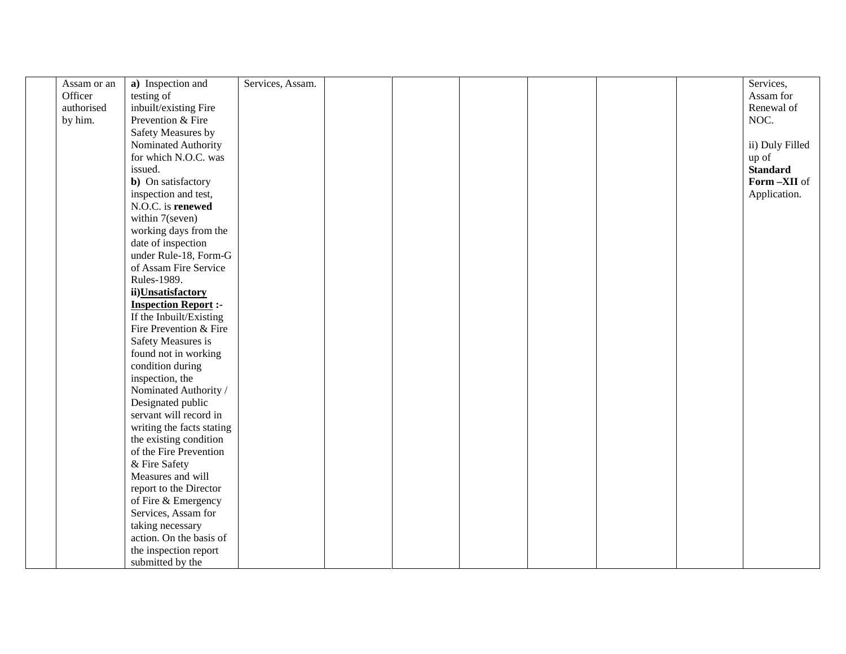| Assam or an | a) Inspection and<br>Services, Assam. |  | Services,       |
|-------------|---------------------------------------|--|-----------------|
| Officer     | testing of                            |  | Assam for       |
| authorised  | inbuilt/existing Fire                 |  | Renewal of      |
| by him.     | Prevention & Fire                     |  | NOC.            |
|             | Safety Measures by                    |  |                 |
|             | Nominated Authority                   |  | ii) Duly Filled |
|             | for which N.O.C. was                  |  | up of           |
|             | issued.                               |  | <b>Standard</b> |
|             | <b>b</b> ) On satisfactory            |  | Form-XII of     |
|             | inspection and test,                  |  | Application.    |
|             | N.O.C. is renewed                     |  |                 |
|             | within 7(seven)                       |  |                 |
|             | working days from the                 |  |                 |
|             | date of inspection                    |  |                 |
|             | under Rule-18, Form-G                 |  |                 |
|             | of Assam Fire Service                 |  |                 |
|             | Rules-1989.                           |  |                 |
|             | ii)Unsatisfactory                     |  |                 |
|             | <b>Inspection Report :-</b>           |  |                 |
|             | If the Inbuilt/Existing               |  |                 |
|             | Fire Prevention & Fire                |  |                 |
|             | Safety Measures is                    |  |                 |
|             | found not in working                  |  |                 |
|             | condition during                      |  |                 |
|             | inspection, the                       |  |                 |
|             | Nominated Authority /                 |  |                 |
|             | Designated public                     |  |                 |
|             | servant will record in                |  |                 |
|             | writing the facts stating             |  |                 |
|             | the existing condition                |  |                 |
|             | of the Fire Prevention                |  |                 |
|             | & Fire Safety                         |  |                 |
|             | Measures and will                     |  |                 |
|             | report to the Director                |  |                 |
|             | of Fire & Emergency                   |  |                 |
|             | Services, Assam for                   |  |                 |
|             | taking necessary                      |  |                 |
|             | action. On the basis of               |  |                 |
|             | the inspection report                 |  |                 |
|             | submitted by the                      |  |                 |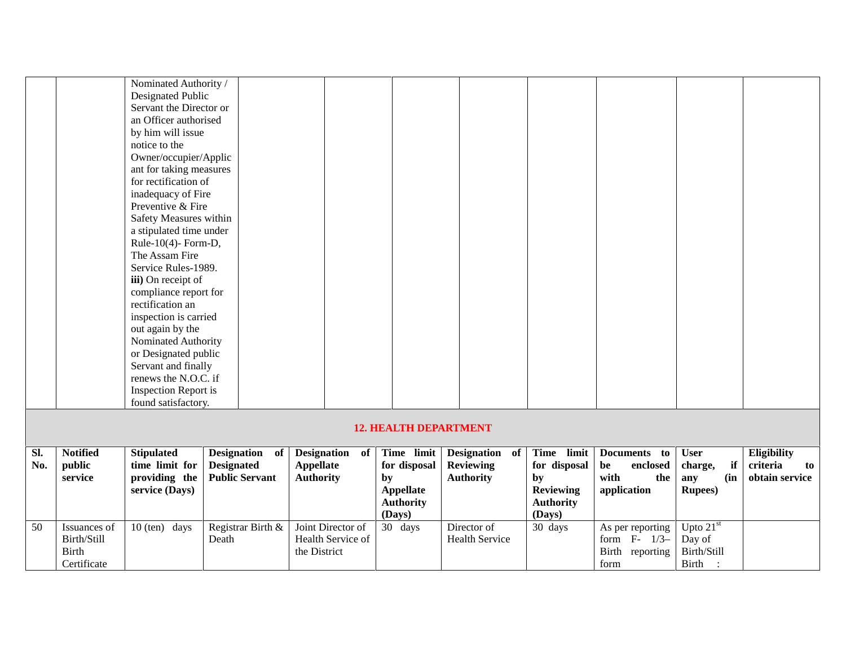|            |                                                            | Nominated Authority /<br>Designated Public<br>Servant the Director or<br>an Officer authorised<br>by him will issue<br>notice to the<br>Owner/occupier/Applic<br>ant for taking measures<br>for rectification of<br>inadequacy of Fire<br>Preventive & Fire<br>Safety Measures within<br>a stipulated time under<br>Rule-10(4)- Form-D,<br>The Assam Fire<br>Service Rules-1989.<br>iii) On receipt of<br>compliance report for<br>rectification an<br>inspection is carried<br>out again by the<br>Nominated Authority<br>or Designated public<br>Servant and finally<br>renews the N.O.C. if<br><b>Inspection Report is</b><br>found satisfactory. |                                                                        |                                                        |    |                                                                              |                                                        |                                                                                    |                                                                 |                                                               |                                                 |
|------------|------------------------------------------------------------|------------------------------------------------------------------------------------------------------------------------------------------------------------------------------------------------------------------------------------------------------------------------------------------------------------------------------------------------------------------------------------------------------------------------------------------------------------------------------------------------------------------------------------------------------------------------------------------------------------------------------------------------------|------------------------------------------------------------------------|--------------------------------------------------------|----|------------------------------------------------------------------------------|--------------------------------------------------------|------------------------------------------------------------------------------------|-----------------------------------------------------------------|---------------------------------------------------------------|-------------------------------------------------|
|            |                                                            |                                                                                                                                                                                                                                                                                                                                                                                                                                                                                                                                                                                                                                                      |                                                                        |                                                        |    | <b>12. HEALTH DEPARTMENT</b>                                                 |                                                        |                                                                                    |                                                                 |                                                               |                                                 |
| Sl.<br>No. | <b>Notified</b><br>public<br>service                       | <b>Stipulated</b><br>time limit for<br>providing the<br>service (Days)                                                                                                                                                                                                                                                                                                                                                                                                                                                                                                                                                                               | <b>Designation</b><br>of<br><b>Designated</b><br><b>Public Servant</b> | Designation of<br><b>Appellate</b><br><b>Authority</b> | by | Time limit<br>for disposal<br><b>Appellate</b><br><b>Authority</b><br>(Days) | Designation of<br><b>Reviewing</b><br><b>Authority</b> | Time limit<br>for disposal<br>by<br><b>Reviewing</b><br><b>Authority</b><br>(Days) | Documents to<br>be<br>enclosed<br>with<br>the<br>application    | <b>User</b><br>if<br>charge,<br>(in<br>any<br><b>Rupees</b> ) | Eligibility<br>criteria<br>to<br>obtain service |
| 50         | Issuances of<br>Birth/Still<br><b>Birth</b><br>Certificate | $10$ (ten) days<br>Death                                                                                                                                                                                                                                                                                                                                                                                                                                                                                                                                                                                                                             | Registrar Birth &                                                      | Joint Director of<br>Health Service of<br>the District |    | 30 days                                                                      | Director of<br><b>Health Service</b>                   | 30 days                                                                            | As per reporting<br>form $F-1/3-$<br>Birth<br>reporting<br>form | Upto $21st$<br>Day of<br>Birth/Still<br>Birth<br>$\cdot$ :    |                                                 |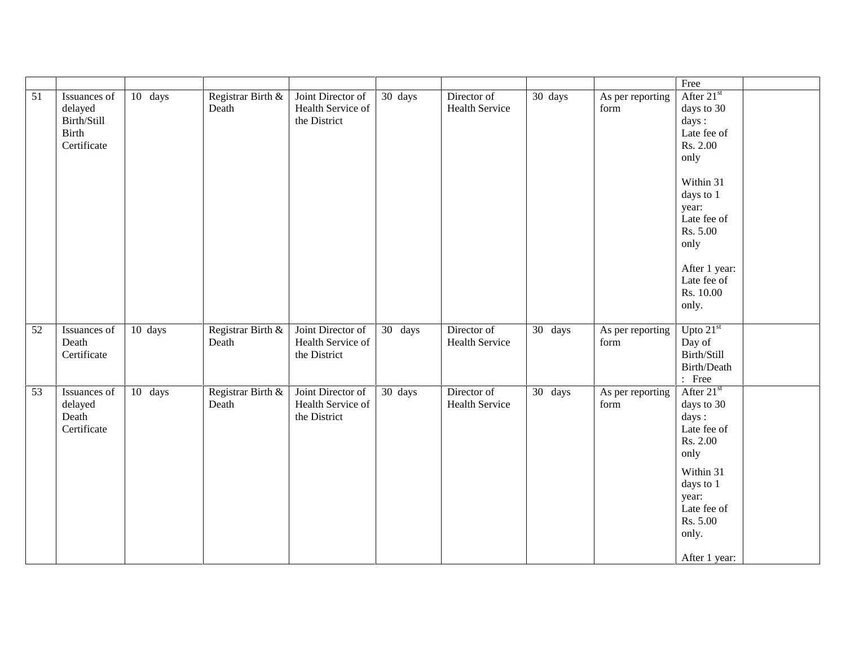|    |                                                                |         |                            |                                                        |         |                                      |         |                          | Free                                                                                                                                                                                               |  |
|----|----------------------------------------------------------------|---------|----------------------------|--------------------------------------------------------|---------|--------------------------------------|---------|--------------------------|----------------------------------------------------------------------------------------------------------------------------------------------------------------------------------------------------|--|
| 51 | Issuances of<br>delayed<br>Birth/Still<br>Birth<br>Certificate | 10 days | Registrar Birth &<br>Death | Joint Director of<br>Health Service of<br>the District | 30 days | Director of<br><b>Health Service</b> | 30 days | As per reporting<br>form | After $21st$<br>days to 30<br>days:<br>Late fee of<br>Rs. 2.00<br>only<br>Within 31<br>days to 1<br>year:<br>Late fee of<br>Rs. 5.00<br>only<br>After 1 year:<br>Late fee of<br>Rs. 10.00<br>only. |  |
| 52 | Issuances of<br>Death<br>Certificate                           | 10 days | Registrar Birth &<br>Death | Joint Director of<br>Health Service of<br>the District | 30 days | Director of<br><b>Health Service</b> | 30 days | As per reporting<br>form | Upto $21st$<br>Day of<br>Birth/Still<br>Birth/Death<br>: Free                                                                                                                                      |  |
| 53 | Issuances of<br>delayed<br>Death<br>Certificate                | 10 days | Registrar Birth &<br>Death | Joint Director of<br>Health Service of<br>the District | 30 days | Director of<br><b>Health Service</b> | 30 days | As per reporting<br>form | After $21st$<br>days to 30<br>days:<br>Late fee of<br>Rs. 2.00<br>only<br>Within 31<br>days to 1<br>year:<br>Late fee of<br>Rs. 5.00<br>only.<br>After 1 year:                                     |  |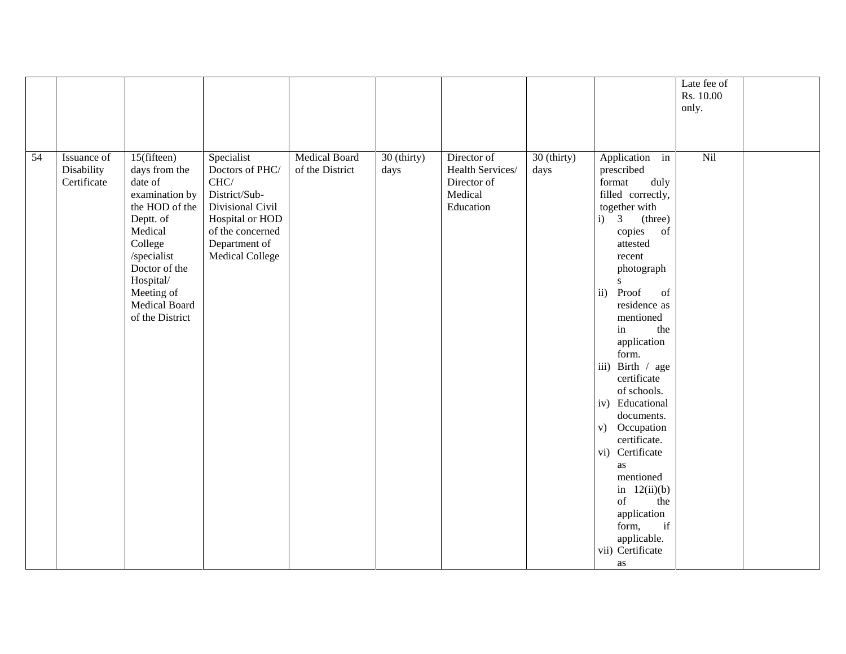|    |                                          |                                                                                                                                                                                                               |                                                                                                                                                                         |                                  |                     |                                                                        |                     |                                                                                                                                                                                                                                                                                                                                                                                                                                                                                                                                                          | Late fee of |  |
|----|------------------------------------------|---------------------------------------------------------------------------------------------------------------------------------------------------------------------------------------------------------------|-------------------------------------------------------------------------------------------------------------------------------------------------------------------------|----------------------------------|---------------------|------------------------------------------------------------------------|---------------------|----------------------------------------------------------------------------------------------------------------------------------------------------------------------------------------------------------------------------------------------------------------------------------------------------------------------------------------------------------------------------------------------------------------------------------------------------------------------------------------------------------------------------------------------------------|-------------|--|
|    |                                          |                                                                                                                                                                                                               |                                                                                                                                                                         |                                  |                     |                                                                        |                     |                                                                                                                                                                                                                                                                                                                                                                                                                                                                                                                                                          | Rs. 10.00   |  |
|    |                                          |                                                                                                                                                                                                               |                                                                                                                                                                         |                                  |                     |                                                                        |                     |                                                                                                                                                                                                                                                                                                                                                                                                                                                                                                                                                          | only.       |  |
|    |                                          |                                                                                                                                                                                                               |                                                                                                                                                                         |                                  |                     |                                                                        |                     |                                                                                                                                                                                                                                                                                                                                                                                                                                                                                                                                                          |             |  |
|    |                                          |                                                                                                                                                                                                               |                                                                                                                                                                         |                                  |                     |                                                                        |                     |                                                                                                                                                                                                                                                                                                                                                                                                                                                                                                                                                          |             |  |
|    |                                          |                                                                                                                                                                                                               |                                                                                                                                                                         |                                  |                     |                                                                        |                     |                                                                                                                                                                                                                                                                                                                                                                                                                                                                                                                                                          |             |  |
| 54 | Issuance of<br>Disability<br>Certificate | 15(fifteen)<br>days from the<br>date of<br>examination by<br>the HOD of the<br>Deptt. of<br>Medical<br>College<br>/specialist<br>Doctor of the<br>Hospital/<br>Meeting of<br>Medical Board<br>of the District | Specialist<br>Doctors of PHC/<br>$\mathrm{CHC}/$<br>District/Sub-<br>Divisional Civil<br>Hospital or HOD<br>of the concerned<br>Department of<br><b>Medical College</b> | Medical Board<br>of the District | 30 (thirty)<br>days | Director of<br>Health Services/<br>Director of<br>Medical<br>Education | 30 (thirty)<br>days | Application in<br>prescribed<br>format<br>duly<br>filled correctly,<br>together with<br>$\overline{3}$<br>(three)<br>i)<br>copies<br>of<br>attested<br>recent<br>photograph<br>S.<br>Proof<br>$\mathbf{ii}$ )<br>of<br>residence as<br>mentioned<br>the<br>in<br>application<br>form.<br>iii) Birth / age<br>certificate<br>of schools.<br>iv) Educational<br>documents.<br>Occupation<br>V)<br>certificate.<br>vi) Certificate<br>as<br>mentioned<br>in $12(ii)(b)$<br>of<br>the<br>application<br>if<br>form,<br>applicable.<br>vii) Certificate<br>as | Nil         |  |
|    |                                          |                                                                                                                                                                                                               |                                                                                                                                                                         |                                  |                     |                                                                        |                     |                                                                                                                                                                                                                                                                                                                                                                                                                                                                                                                                                          |             |  |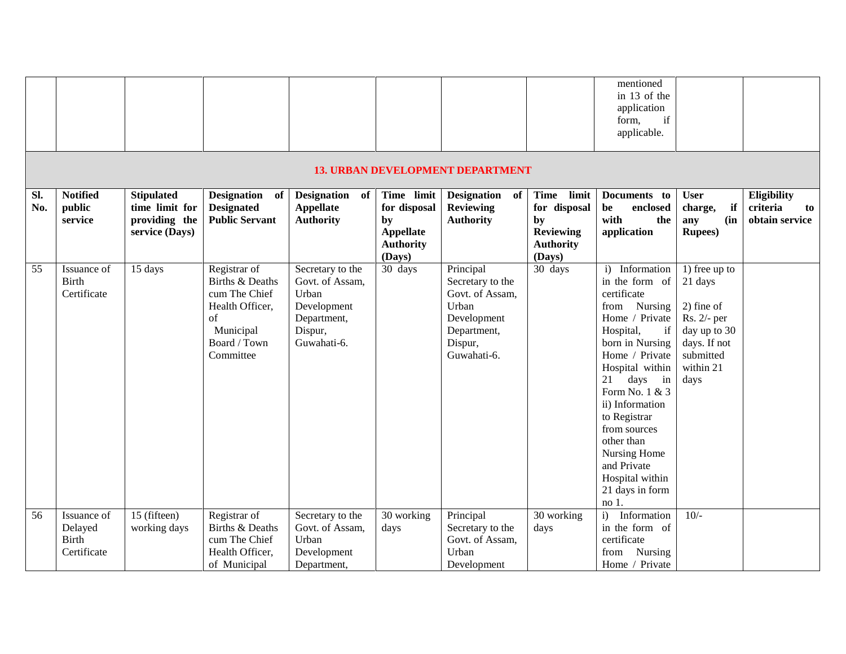|            |                                                       |                                                                        |                                                                                                                                |                                                                                                      |                                                                                    |                                                                                                                   |                                                                                    | mentioned<br>in 13 of the<br>application<br>if<br>form,<br>applicable.                                                                                                                                                                                                                                                                                      |                                                                                                                           |                                                 |
|------------|-------------------------------------------------------|------------------------------------------------------------------------|--------------------------------------------------------------------------------------------------------------------------------|------------------------------------------------------------------------------------------------------|------------------------------------------------------------------------------------|-------------------------------------------------------------------------------------------------------------------|------------------------------------------------------------------------------------|-------------------------------------------------------------------------------------------------------------------------------------------------------------------------------------------------------------------------------------------------------------------------------------------------------------------------------------------------------------|---------------------------------------------------------------------------------------------------------------------------|-------------------------------------------------|
|            |                                                       |                                                                        |                                                                                                                                |                                                                                                      |                                                                                    | <b>13. URBAN DEVELOPMENT DEPARTMENT</b>                                                                           |                                                                                    |                                                                                                                                                                                                                                                                                                                                                             |                                                                                                                           |                                                 |
| SI.<br>No. | <b>Notified</b><br>public<br>service                  | <b>Stipulated</b><br>time limit for<br>providing the<br>service (Days) | Designation of<br><b>Designated</b><br><b>Public Servant</b>                                                                   | Designation of<br><b>Appellate</b><br><b>Authority</b>                                               | Time limit<br>for disposal<br>by<br><b>Appellate</b><br><b>Authority</b><br>(Days) | Designation of<br><b>Reviewing</b><br><b>Authority</b>                                                            | Time limit<br>for disposal<br>by<br><b>Reviewing</b><br><b>Authority</b><br>(Days) | Documents to<br>be<br>enclosed<br>with<br>the<br>application                                                                                                                                                                                                                                                                                                | <b>User</b><br>if<br>charge,<br>(in<br>any<br><b>Rupees</b> )                                                             | Eligibility<br>criteria<br>to<br>obtain service |
| 55         | Issuance of<br><b>Birth</b><br>Certificate            | 15 days                                                                | Registrar of<br><b>Births &amp; Deaths</b><br>cum The Chief<br>Health Officer,<br>of<br>Municipal<br>Board / Town<br>Committee | Secretary to the<br>Govt. of Assam,<br>Urban<br>Development<br>Department,<br>Dispur,<br>Guwahati-6. | 30 days                                                                            | Principal<br>Secretary to the<br>Govt. of Assam,<br>Urban<br>Development<br>Department,<br>Dispur,<br>Guwahati-6. | 30 days                                                                            | i) Information<br>in the form of<br>certificate<br>from Nursing<br>Home / Private<br>Hospital,<br>if<br>born in Nursing<br>Home / Private<br>Hospital within<br>21<br>days<br>in<br>Form No. 1 & 3<br>ii) Information<br>to Registrar<br>from sources<br>other than<br>Nursing Home<br>and Private<br>Hospital within<br>21 days in form<br>no <sub>1</sub> | 1) free up to<br>21 days<br>$2)$ fine of<br>Rs. 2/- per<br>day up to 30<br>days. If not<br>submitted<br>within 21<br>days |                                                 |
| 56         | Issuance of<br>Delayed<br><b>Birth</b><br>Certificate | 15 (fifteen)<br>working days                                           | Registrar of<br>Births & Deaths<br>cum The Chief<br>Health Officer,<br>of Municipal                                            | Secretary to the<br>Govt. of Assam,<br>Urban<br>Development<br>Department,                           | 30 working<br>days                                                                 | Principal<br>Secretary to the<br>Govt. of Assam,<br>Urban<br>Development                                          | 30 working<br>days                                                                 | Information<br>i)<br>in the form of<br>certificate<br>Nursing<br>from<br>Home / Private                                                                                                                                                                                                                                                                     | $10/-$                                                                                                                    |                                                 |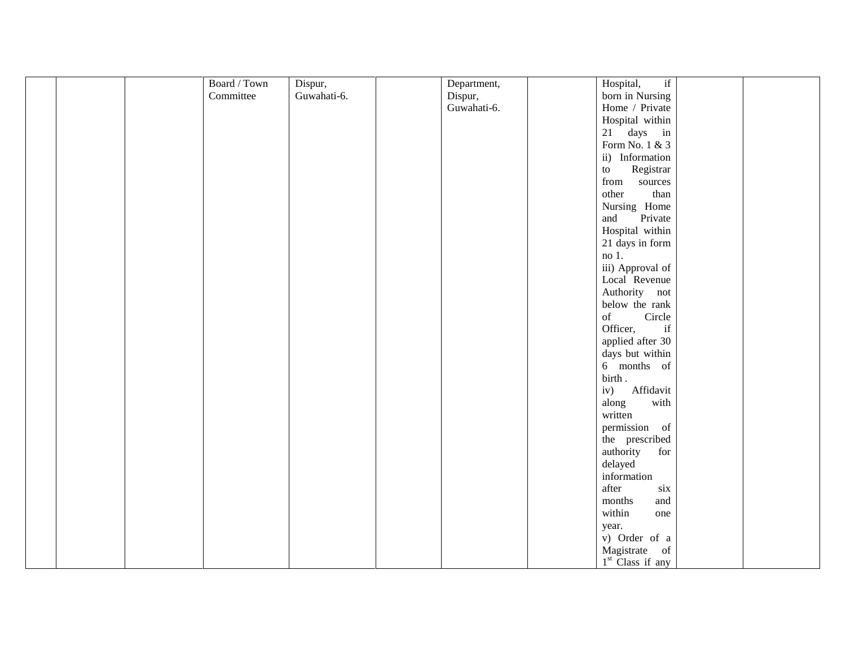| Board / Town | Dispur,     | Department, | if<br>Hospital,                                                                                              |
|--------------|-------------|-------------|--------------------------------------------------------------------------------------------------------------|
| Committee    | Guwahati-6. | Dispur,     | born in Nursing                                                                                              |
|              |             | Guwahati-6. | Home / Private                                                                                               |
|              |             |             | Hospital within                                                                                              |
|              |             |             | 21 days in                                                                                                   |
|              |             |             | Form No. 1 & 3                                                                                               |
|              |             |             | ii) Information                                                                                              |
|              |             |             | Registrar<br>$\,$ to $\,$                                                                                    |
|              |             |             | from sources                                                                                                 |
|              |             |             | other<br>than                                                                                                |
|              |             |             | Nursing Home                                                                                                 |
|              |             |             | Private<br>and                                                                                               |
|              |             |             | Hospital within                                                                                              |
|              |             |             | 21 days in form                                                                                              |
|              |             |             | $no1$ .                                                                                                      |
|              |             |             | iii) Approval of                                                                                             |
|              |             |             | Local Revenue                                                                                                |
|              |             |             | Authority not                                                                                                |
|              |             |             | below the rank                                                                                               |
|              |             |             | $% \left( \left( \mathcal{A},\mathcal{A}\right) \right) =\left( \mathcal{A},\mathcal{A}\right)$ of<br>Circle |
|              |             |             | Officer,<br>$\operatorname{if}$                                                                              |
|              |             |             | applied after 30                                                                                             |
|              |             |             | days but within                                                                                              |
|              |             |             | 6 months of                                                                                                  |
|              |             |             | birth.                                                                                                       |
|              |             |             | iv)<br>Affidavit                                                                                             |
|              |             |             | along<br>with                                                                                                |
|              |             |             | written                                                                                                      |
|              |             |             | permission of                                                                                                |
|              |             |             |                                                                                                              |
|              |             |             | the prescribed<br>for                                                                                        |
|              |             |             | authority                                                                                                    |
|              |             |             | delayed                                                                                                      |
|              |             |             | information                                                                                                  |
|              |             |             | after<br>six                                                                                                 |
|              |             |             | and<br>months                                                                                                |
|              |             |             | within<br>one                                                                                                |
|              |             |             | year.                                                                                                        |
|              |             |             | v) Order of a                                                                                                |
|              |             |             | Magistrate of                                                                                                |
|              |             |             | $1st$ Class if any                                                                                           |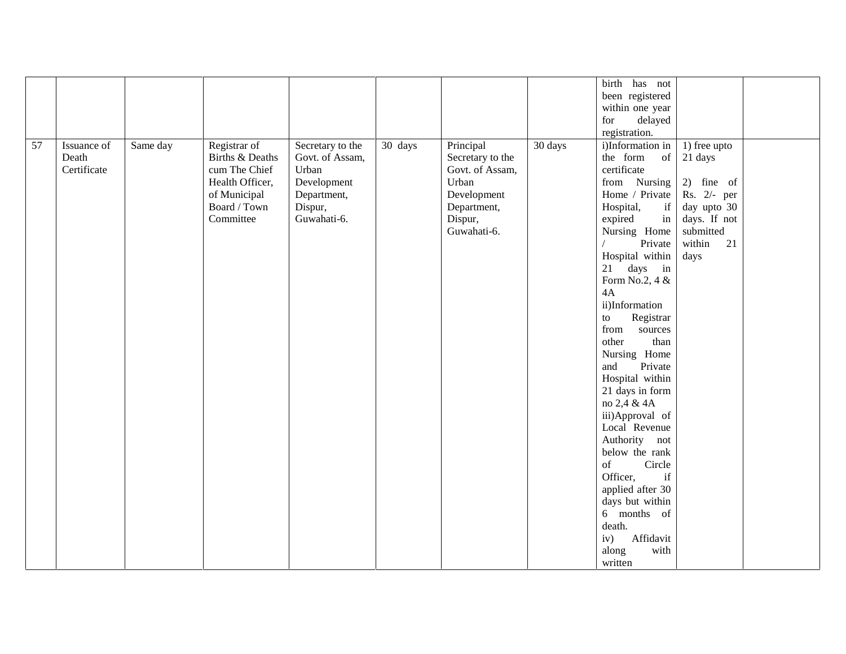|    |             |          |                 |                  |         |                  |         | birth has not    |              |
|----|-------------|----------|-----------------|------------------|---------|------------------|---------|------------------|--------------|
|    |             |          |                 |                  |         |                  |         | been registered  |              |
|    |             |          |                 |                  |         |                  |         | within one year  |              |
|    |             |          |                 |                  |         |                  |         | delayed<br>for   |              |
|    |             |          |                 |                  |         |                  |         | registration.    |              |
| 57 | Issuance of | Same day | Registrar of    | Secretary to the | 30 days | Principal        | 30 days | i)Information in | 1) free upto |
|    | Death       |          | Births & Deaths | Govt. of Assam,  |         | Secretary to the |         | the form<br>of   | 21 days      |
|    | Certificate |          | cum The Chief   | Urban            |         | Govt. of Assam,  |         | certificate      |              |
|    |             |          | Health Officer, | Development      |         | Urban            |         | from Nursing     | 2) fine of   |
|    |             |          | of Municipal    | Department,      |         | Development      |         | Home / Private   | Rs. 2/- per  |
|    |             |          | Board / Town    | Dispur,          |         | Department,      |         | Hospital,<br>if  | day upto 30  |
|    |             |          | Committee       | Guwahati-6.      |         | Dispur,          |         | expired<br>in    | days. If not |
|    |             |          |                 |                  |         | Guwahati-6.      |         | Nursing Home     | submitted    |
|    |             |          |                 |                  |         |                  |         | Private          | within<br>21 |
|    |             |          |                 |                  |         |                  |         | Hospital within  | days         |
|    |             |          |                 |                  |         |                  |         | 21 days in       |              |
|    |             |          |                 |                  |         |                  |         | Form No.2, 4 &   |              |
|    |             |          |                 |                  |         |                  |         | 4A               |              |
|    |             |          |                 |                  |         |                  |         | ii)Information   |              |
|    |             |          |                 |                  |         |                  |         | Registrar<br>to  |              |
|    |             |          |                 |                  |         |                  |         | from<br>sources  |              |
|    |             |          |                 |                  |         |                  |         | other<br>than    |              |
|    |             |          |                 |                  |         |                  |         | Nursing Home     |              |
|    |             |          |                 |                  |         |                  |         | and<br>Private   |              |
|    |             |          |                 |                  |         |                  |         | Hospital within  |              |
|    |             |          |                 |                  |         |                  |         | 21 days in form  |              |
|    |             |          |                 |                  |         |                  |         | no 2,4 & 4A      |              |
|    |             |          |                 |                  |         |                  |         | iii)Approval of  |              |
|    |             |          |                 |                  |         |                  |         | Local Revenue    |              |
|    |             |          |                 |                  |         |                  |         | Authority not    |              |
|    |             |          |                 |                  |         |                  |         | below the rank   |              |
|    |             |          |                 |                  |         |                  |         | of<br>Circle     |              |
|    |             |          |                 |                  |         |                  |         | Officer,<br>if   |              |
|    |             |          |                 |                  |         |                  |         | applied after 30 |              |
|    |             |          |                 |                  |         |                  |         | days but within  |              |
|    |             |          |                 |                  |         |                  |         | 6 months of      |              |
|    |             |          |                 |                  |         |                  |         | death.           |              |
|    |             |          |                 |                  |         |                  |         | Affidavit<br>iv) |              |
|    |             |          |                 |                  |         |                  |         | along<br>with    |              |
|    |             |          |                 |                  |         |                  |         | written          |              |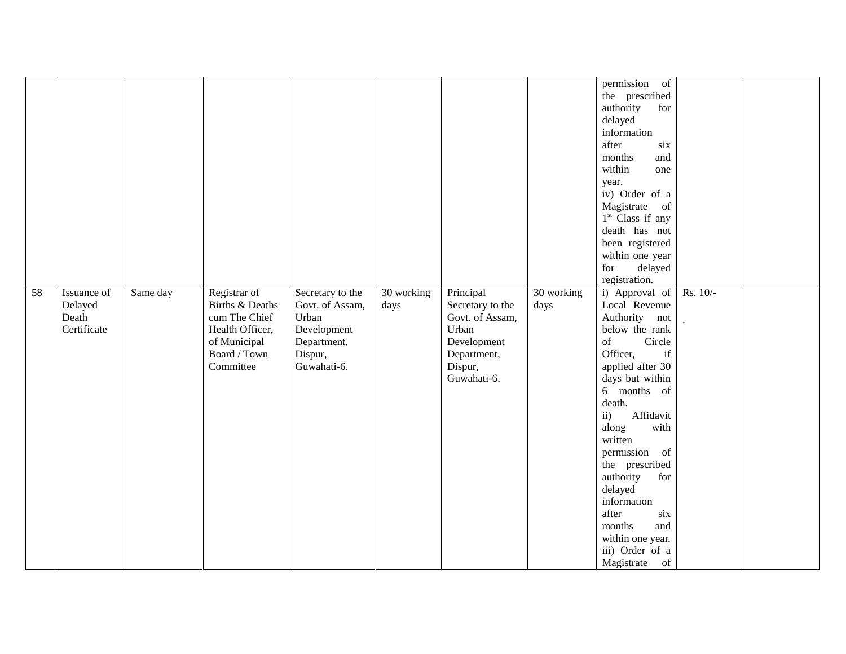|    |                                                |          |                                                                                                                  |                                                                                                      |                    |                                                                                                                   |                    | permission of<br>the prescribed<br>authority<br>for<br>delayed<br>information<br>after<br>six<br>months<br>and<br>within<br>one<br>year.<br>iv) Order of a<br>Magistrate of<br>1 <sup>st</sup> Class if any<br>death has not<br>been registered<br>within one year<br>for<br>delayed                                                                                                                                        |          |  |
|----|------------------------------------------------|----------|------------------------------------------------------------------------------------------------------------------|------------------------------------------------------------------------------------------------------|--------------------|-------------------------------------------------------------------------------------------------------------------|--------------------|-----------------------------------------------------------------------------------------------------------------------------------------------------------------------------------------------------------------------------------------------------------------------------------------------------------------------------------------------------------------------------------------------------------------------------|----------|--|
| 58 | Issuance of<br>Delayed<br>Death<br>Certificate | Same day | Registrar of<br>Births & Deaths<br>cum The Chief<br>Health Officer,<br>of Municipal<br>Board / Town<br>Committee | Secretary to the<br>Govt. of Assam,<br>Urban<br>Development<br>Department,<br>Dispur,<br>Guwahati-6. | 30 working<br>days | Principal<br>Secretary to the<br>Govt. of Assam,<br>Urban<br>Development<br>Department,<br>Dispur,<br>Guwahati-6. | 30 working<br>days | registration.<br>i) Approval of<br>Local Revenue<br>Authority not<br>below the rank<br>of<br>Circle<br>Officer,<br>if<br>applied after 30<br>days but within<br>6 months of<br>death.<br>$\mathbf{ii}$ )<br>Affidavit<br>along<br>with<br>written<br>permission of<br>the prescribed<br>authority<br>for<br>delayed<br>information<br>after<br>six<br>months<br>and<br>within one year.<br>iii) Order of a<br>Magistrate of | Rs. 10/- |  |